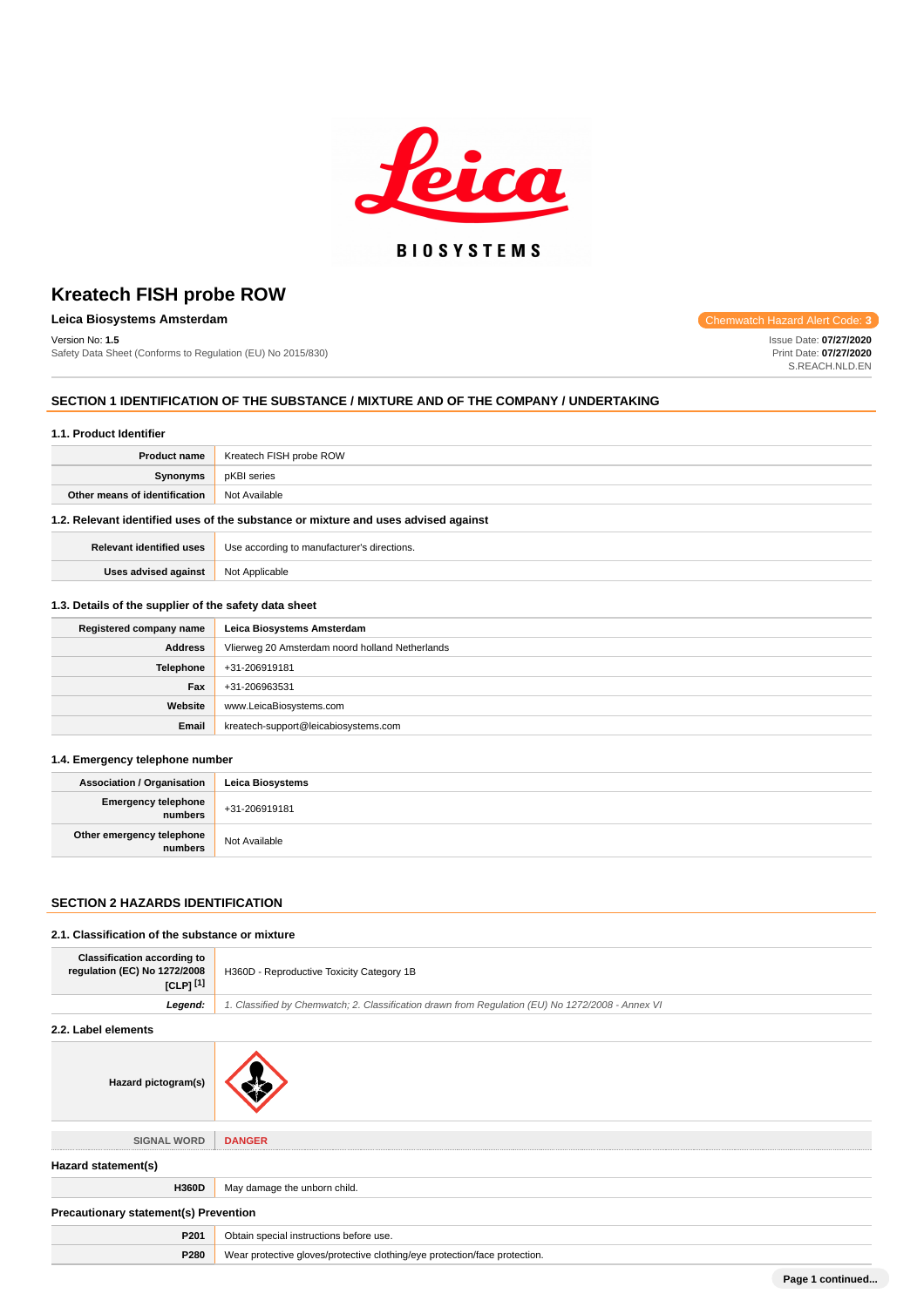

## **Leica Biosystems Amsterdam Chemwatch Hazard Alert** Chemwatch Hazard Alert Chemwatch Hazard Alert

Version No: **1.5** Safety Data Sheet (Conforms to Regulation (EU) No 2015/830)

### **SECTION 1 IDENTIFICATION OF THE SUBSTANCE / MIXTURE AND OF THE COMPANY / UNDERTAKING**

#### **1.1. Product Identifier**

| <b>Product name</b>                                                                | Kreatech FISH probe ROW |
|------------------------------------------------------------------------------------|-------------------------|
| Synonyms                                                                           | pKBI series             |
| Other means of identification                                                      | Not Available           |
| 1.2. Relevant identified uses of the substance or mixture and uses advised against |                         |

| <b>Relevant identified uses</b> | Use according<br>r's directions. |
|---------------------------------|----------------------------------|
| Uses advised against            | licable<br>Not A                 |

#### **1.3. Details of the supplier of the safety data sheet**

| Registered company name | Leica Biosystems Amsterdam                      |
|-------------------------|-------------------------------------------------|
| <b>Address</b>          | Vlierweg 20 Amsterdam noord holland Netherlands |
| <b>Telephone</b>        | +31-206919181                                   |
| Fax                     | +31-206963531                                   |
| Website                 | www.LeicaBiosystems.com                         |
| Email                   | kreatech-support@leicabiosystems.com            |

### **1.4. Emergency telephone number**

| Association / Organisation              | Leica Biosvstems |
|-----------------------------------------|------------------|
| Emergency telephone<br><b>i</b> numbers | +31-206919181    |
| Other emergency telephone<br>numbers    | Not Available    |

### **SECTION 2 HAZARDS IDENTIFICATION**

#### **2.1. Classification of the substance or mixture**

| <b>Classification according to</b><br>regulation (EC) No 1272/2008<br>$ICLP1$ <sup>[1]</sup> | H360D - Reproductive Toxicity Category 1B                                                        |  |
|----------------------------------------------------------------------------------------------|--------------------------------------------------------------------------------------------------|--|
| Leaend:                                                                                      | 1. Classified by Chemwatch; 2. Classification drawn from Requlation (EU) No 1272/2008 - Annex VI |  |

### **2.2. Label elements**

| Hazard pictogram(s)                          |                                                                            |  |
|----------------------------------------------|----------------------------------------------------------------------------|--|
| <b>SIGNAL WORD</b>                           | <b>DANGER</b>                                                              |  |
| Hazard statement(s)                          |                                                                            |  |
| H360D                                        | May damage the unborn child.                                               |  |
| <b>Precautionary statement(s) Prevention</b> |                                                                            |  |
| P201                                         | Obtain special instructions before use.                                    |  |
| P280                                         | Wear protective gloves/protective clothing/eye protection/face protection. |  |

**Page 1 continued...**

Issue Date: **07/27/2020** Print Date: **07/27/2020** S.REACH.NLD.EN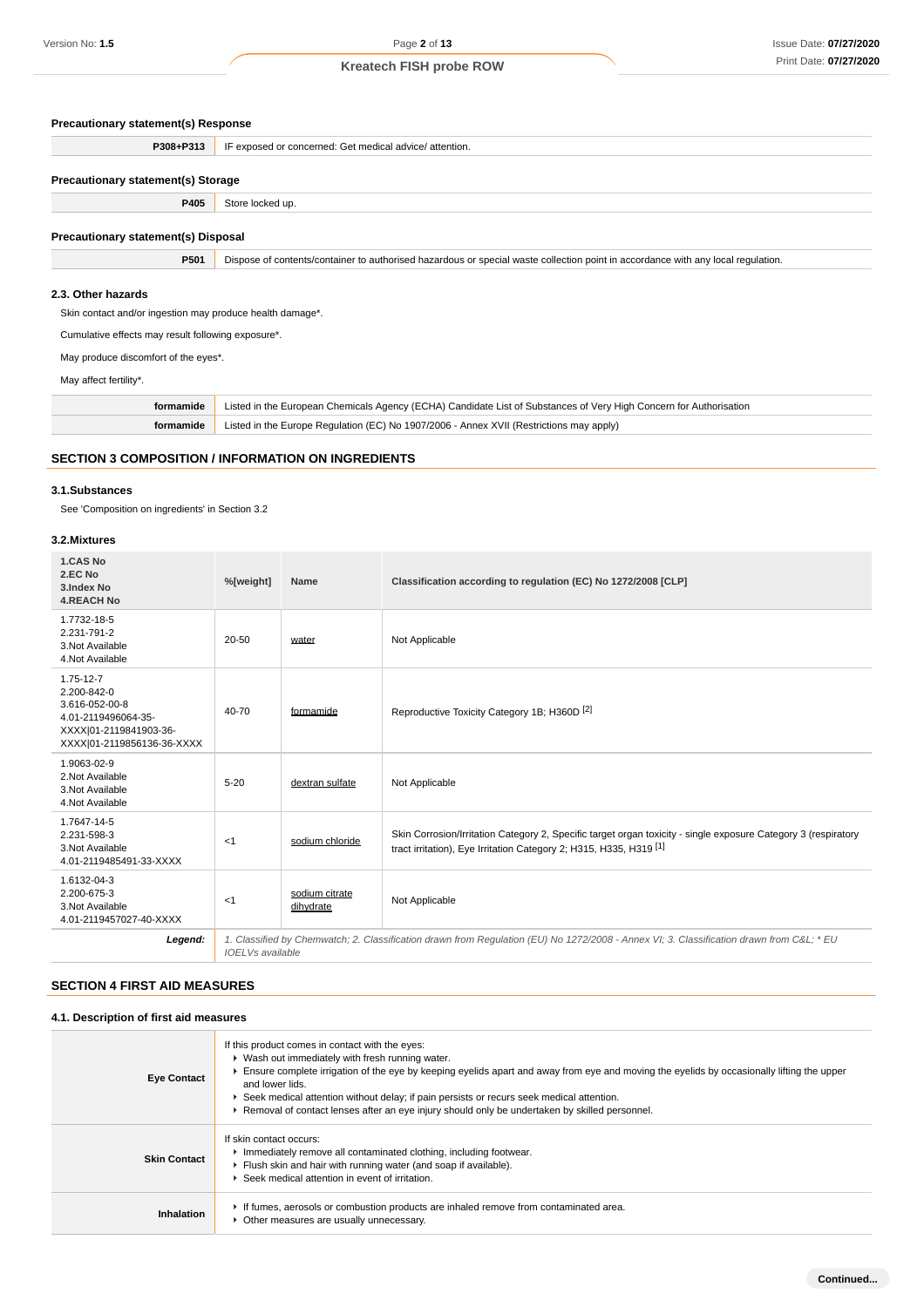#### **Precautionary statement(s) Response**

| P308+P313                                 | IF exposed or concerned: Get medical advice/attention. |  |  |
|-------------------------------------------|--------------------------------------------------------|--|--|
|                                           |                                                        |  |  |
| <b>Precautionary statement(s) Storage</b> |                                                        |  |  |

## **P405** Store locked up.

#### **Precautionary statement(s) Disposal**

**P501** Dispose of contents/container to authorised hazardous or special waste collection point in accordance with any local regulation.

#### **2.3. Other hazards**

Skin contact and/or ingestion may produce health damage\*.

Cumulative effects may result following exposure\*.

May produce discomfort of the eyes\*.

May affect fertility\*.

**formamide** Listed in the European Chemicals Agency (ECHA) Candidate List of Substances of Very High Concern for Authorisation **formamide** Listed in the Europe Regulation (EC) No 1907/2006 - Annex XVII (Restrictions may apply)

### **SECTION 3 COMPOSITION / INFORMATION ON INGREDIENTS**

#### **3.1.Substances**

See 'Composition on ingredients' in Section 3.2

## **3.2.Mixtures**

| 1.CAS No<br>2.EC No<br>3.Index No<br><b>4.REACH No</b>                                                                          | %[weight]               | Name                        | Classification according to regulation (EC) No 1272/2008 [CLP]                                                                                                                                  |
|---------------------------------------------------------------------------------------------------------------------------------|-------------------------|-----------------------------|-------------------------------------------------------------------------------------------------------------------------------------------------------------------------------------------------|
| 1.7732-18-5<br>2.231-791-2<br>3. Not Available<br>4.Not Available                                                               | 20-50                   | water                       | Not Applicable                                                                                                                                                                                  |
| $1.75 - 12 - 7$<br>2.200-842-0<br>3.616-052-00-8<br>4.01-2119496064-35-<br>XXXX 01-2119841903-36-<br>XXXX 01-2119856136-36-XXXX | $40 - 70$               | formamide                   | Reproductive Toxicity Category 1B; H360D [2]                                                                                                                                                    |
| 1.9063-02-9<br>2. Not Available<br>3. Not Available<br>4.Not Available                                                          | $5 - 20$                | dextran sulfate             | Not Applicable                                                                                                                                                                                  |
| 1.7647-14-5<br>2.231-598-3<br>3. Not Available<br>4.01-2119485491-33-XXXX                                                       | <1                      | sodium chloride             | Skin Corrosion/Irritation Category 2, Specific target organ toxicity - single exposure Category 3 (respiratory<br>tract irritation), Eye Irritation Category 2; H315, H335, H319 <sup>[1]</sup> |
| 1.6132-04-3<br>2.200-675-3<br>3. Not Available<br>4.01-2119457027-40-XXXX                                                       | $<$ 1                   | sodium citrate<br>dihydrate | Not Applicable                                                                                                                                                                                  |
| Legend:                                                                                                                         | <b>IOELVs</b> available |                             | 1. Classified by Chemwatch; 2. Classification drawn from Requlation (EU) No 1272/2008 - Annex VI; 3. Classification drawn from C&L * EU                                                         |

#### **SECTION 4 FIRST AID MEASURES**

#### **4.1. Description of first aid measures**

| <b>Eye Contact</b>  | If this product comes in contact with the eyes:<br>▶ Wash out immediately with fresh running water.<br>Ensure complete irrigation of the eye by keeping eyelids apart and away from eye and moving the eyelids by occasionally lifting the upper<br>and lower lids.<br>► Seek medical attention without delay; if pain persists or recurs seek medical attention.<br>▶ Removal of contact lenses after an eye injury should only be undertaken by skilled personnel. |
|---------------------|----------------------------------------------------------------------------------------------------------------------------------------------------------------------------------------------------------------------------------------------------------------------------------------------------------------------------------------------------------------------------------------------------------------------------------------------------------------------|
| <b>Skin Contact</b> | If skin contact occurs:<br>Inmediately remove all contaminated clothing, including footwear.<br>Flush skin and hair with running water (and soap if available).<br>Seek medical attention in event of irritation.                                                                                                                                                                                                                                                    |
| Inhalation          | If fumes, aerosols or combustion products are inhaled remove from contaminated area.<br>• Other measures are usually unnecessary.                                                                                                                                                                                                                                                                                                                                    |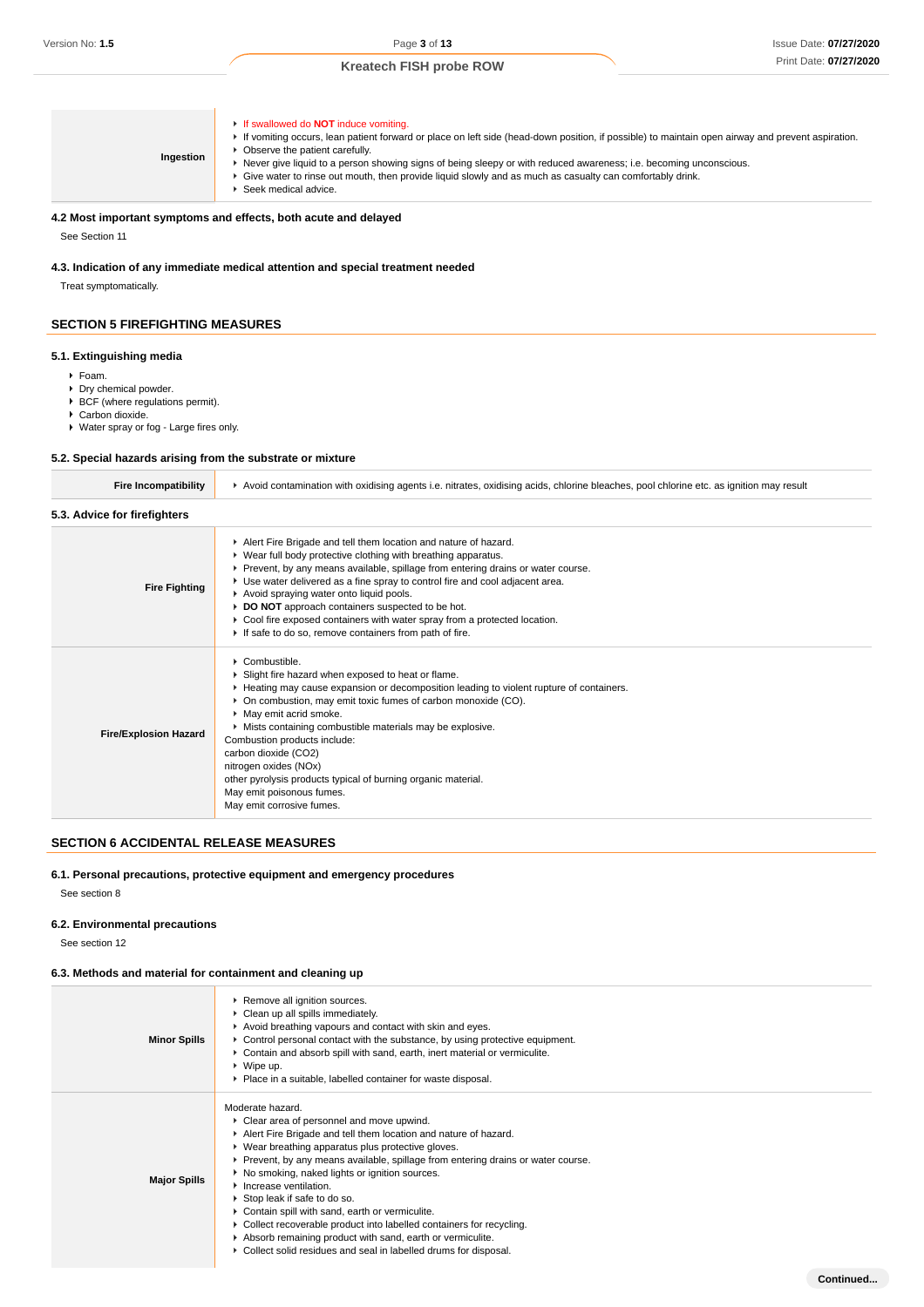**Continued...**

| Ingestion | <b>If swallowed do NOT induce vomiting.</b><br>If vomiting occurs, lean patient forward or place on left side (head-down position, if possible) to maintain open airway and prevent aspiration.<br>Observe the patient carefully.<br>Never give liquid to a person showing signs of being sleepy or with reduced awareness; i.e. becoming unconscious.<br>Give water to rinse out mouth, then provide liquid slowly and as much as casualty can comfortably drink.<br>Seek medical advice. |
|-----------|--------------------------------------------------------------------------------------------------------------------------------------------------------------------------------------------------------------------------------------------------------------------------------------------------------------------------------------------------------------------------------------------------------------------------------------------------------------------------------------------|
|-----------|--------------------------------------------------------------------------------------------------------------------------------------------------------------------------------------------------------------------------------------------------------------------------------------------------------------------------------------------------------------------------------------------------------------------------------------------------------------------------------------------|

### **4.2 Most important symptoms and effects, both acute and delayed**

See Section 11

## **4.3. Indication of any immediate medical attention and special treatment needed**

Treat symptomatically.

### **SECTION 5 FIREFIGHTING MEASURES**

#### **5.1. Extinguishing media**

- Foam.
- ▶ Dry chemical powder.
- $\triangleright$  BCF (where regulations permit).
- ▶ Carbon dioxide.
- Water spray or fog Large fires only.

#### **5.2. Special hazards arising from the substrate or mixture**

| <b>Fire Incompatibility</b>  | ▶ Avoid contamination with oxidising agents i.e. nitrates, oxidising acids, chlorine bleaches, pool chlorine etc. as ignition may result                                                                                                                                                                                                                                                                                                                                                                                                            |  |  |  |  |
|------------------------------|-----------------------------------------------------------------------------------------------------------------------------------------------------------------------------------------------------------------------------------------------------------------------------------------------------------------------------------------------------------------------------------------------------------------------------------------------------------------------------------------------------------------------------------------------------|--|--|--|--|
| 5.3. Advice for firefighters |                                                                                                                                                                                                                                                                                                                                                                                                                                                                                                                                                     |  |  |  |  |
| <b>Fire Fighting</b>         | Alert Fire Brigade and tell them location and nature of hazard.<br>▶ Wear full body protective clothing with breathing apparatus.<br>Prevent, by any means available, spillage from entering drains or water course.<br>▶ Use water delivered as a fine spray to control fire and cool adjacent area.<br>Avoid spraying water onto liquid pools.<br>DO NOT approach containers suspected to be hot.<br>• Cool fire exposed containers with water spray from a protected location.<br>If safe to do so, remove containers from path of fire.         |  |  |  |  |
| <b>Fire/Explosion Hazard</b> | $\triangleright$ Combustible.<br>Slight fire hazard when exposed to heat or flame.<br>Heating may cause expansion or decomposition leading to violent rupture of containers.<br>• On combustion, may emit toxic fumes of carbon monoxide (CO).<br>• May emit acrid smoke.<br>• Mists containing combustible materials may be explosive.<br>Combustion products include:<br>carbon dioxide (CO2)<br>nitrogen oxides (NOx)<br>other pyrolysis products typical of burning organic material.<br>May emit poisonous fumes.<br>May emit corrosive fumes. |  |  |  |  |

## **SECTION 6 ACCIDENTAL RELEASE MEASURES**

#### **6.1. Personal precautions, protective equipment and emergency procedures**

See section 8

### **6.2. Environmental precautions**

See section 12

### **6.3. Methods and material for containment and cleaning up**

| <b>Minor Spills</b> | Remove all ignition sources.<br>Clean up all spills immediately.<br>Avoid breathing vapours and contact with skin and eyes.<br>► Control personal contact with the substance, by using protective equipment.<br>► Contain and absorb spill with sand, earth, inert material or vermiculite.<br>$\triangleright$ Wipe up.<br>▶ Place in a suitable, labelled container for waste disposal.                                                                                                                                                                                                                                                            |
|---------------------|------------------------------------------------------------------------------------------------------------------------------------------------------------------------------------------------------------------------------------------------------------------------------------------------------------------------------------------------------------------------------------------------------------------------------------------------------------------------------------------------------------------------------------------------------------------------------------------------------------------------------------------------------|
| <b>Major Spills</b> | Moderate hazard.<br>• Clear area of personnel and move upwind.<br>Alert Fire Brigade and tell them location and nature of hazard.<br>▶ Wear breathing apparatus plus protective gloves.<br>▶ Prevent, by any means available, spillage from entering drains or water course.<br>No smoking, naked lights or ignition sources.<br>• Increase ventilation.<br>Stop leak if safe to do so.<br>Contain spill with sand, earth or vermiculite.<br>• Collect recoverable product into labelled containers for recycling.<br>Absorb remaining product with sand, earth or vermiculite.<br>▶ Collect solid residues and seal in labelled drums for disposal. |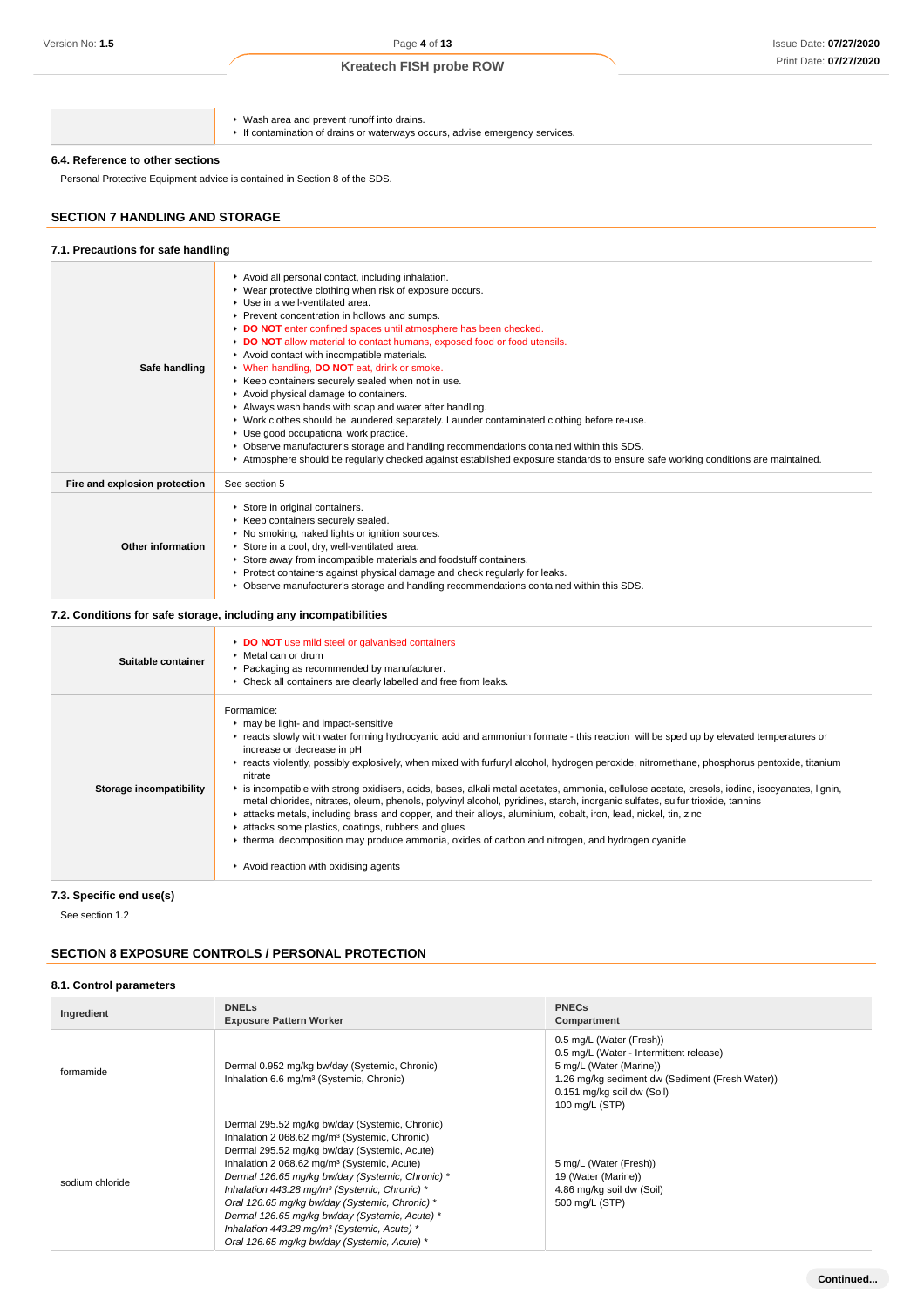### **6.4. Reference to other sections**

## **SECTION 7 HANDLING AND STORAGE**

#### **7.1. Precautions for safe handling**

| Version No: <b>1.5</b>                                            | Page 4 of 13                                                                                                                                                                                                                                      |                                                                            | Issue Date: 07/27/202 |
|-------------------------------------------------------------------|---------------------------------------------------------------------------------------------------------------------------------------------------------------------------------------------------------------------------------------------------|----------------------------------------------------------------------------|-----------------------|
|                                                                   | <b>Kreatech FISH probe ROW</b>                                                                                                                                                                                                                    |                                                                            | Print Date: 07/27/202 |
|                                                                   |                                                                                                                                                                                                                                                   |                                                                            |                       |
|                                                                   | ▶ Wash area and prevent runoff into drains.<br>If contamination of drains or waterways occurs, advise emergency services.                                                                                                                         |                                                                            |                       |
| 6.4. Reference to other sections                                  |                                                                                                                                                                                                                                                   |                                                                            |                       |
|                                                                   | Personal Protective Equipment advice is contained in Section 8 of the SDS.                                                                                                                                                                        |                                                                            |                       |
|                                                                   |                                                                                                                                                                                                                                                   |                                                                            |                       |
| <b>SECTION 7 HANDLING AND STORAGE</b>                             |                                                                                                                                                                                                                                                   |                                                                            |                       |
| 7.1. Precautions for safe handling                                |                                                                                                                                                                                                                                                   |                                                                            |                       |
|                                                                   | Avoid all personal contact, including inhalation.<br>• Wear protective clothing when risk of exposure occurs.<br>Use in a well-ventilated area.                                                                                                   |                                                                            |                       |
|                                                                   | ▶ Prevent concentration in hollows and sumps.<br>DO NOT enter confined spaces until atmosphere has been checked.                                                                                                                                  |                                                                            |                       |
|                                                                   | DO NOT allow material to contact humans, exposed food or food utensils.<br>Avoid contact with incompatible materials.                                                                                                                             |                                                                            |                       |
| Safe handling                                                     | V When handling, DO NOT eat, drink or smoke.                                                                                                                                                                                                      |                                                                            |                       |
|                                                                   | ▶ Keep containers securely sealed when not in use.<br>Avoid physical damage to containers.                                                                                                                                                        |                                                                            |                       |
|                                                                   | Always wash hands with soap and water after handling.                                                                                                                                                                                             |                                                                            |                       |
|                                                                   | ▶ Work clothes should be laundered separately. Launder contaminated clothing before re-use.<br>• Use good occupational work practice.                                                                                                             |                                                                            |                       |
|                                                                   | ▶ Observe manufacturer's storage and handling recommendations contained within this SDS.<br>Atmosphere should be regularly checked against established exposure standards to ensure safe working conditions are maintained.                       |                                                                            |                       |
|                                                                   | See section 5                                                                                                                                                                                                                                     |                                                                            |                       |
| Fire and explosion protection                                     |                                                                                                                                                                                                                                                   |                                                                            |                       |
| Store in original containers.<br>Keep containers securely sealed. |                                                                                                                                                                                                                                                   |                                                                            |                       |
| Other information                                                 | No smoking, naked lights or ignition sources.<br>Store in a cool, dry, well-ventilated area.                                                                                                                                                      |                                                                            |                       |
|                                                                   | Store away from incompatible materials and foodstuff containers.                                                                                                                                                                                  |                                                                            |                       |
|                                                                   | Protect containers against physical damage and check regularly for leaks.<br>► Observe manufacturer's storage and handling recommendations contained within this SDS.                                                                             |                                                                            |                       |
|                                                                   |                                                                                                                                                                                                                                                   |                                                                            |                       |
|                                                                   | 7.2. Conditions for safe storage, including any incompatibilities                                                                                                                                                                                 |                                                                            |                       |
| Suitable container                                                | DO NOT use mild steel or galvanised containers<br>▶ Metal can or drum<br>Packaging as recommended by manufacturer.                                                                                                                                |                                                                            |                       |
|                                                                   | Check all containers are clearly labelled and free from leaks.                                                                                                                                                                                    |                                                                            |                       |
|                                                                   | Formamide:                                                                                                                                                                                                                                        |                                                                            |                       |
|                                                                   | ▶ may be light- and impact-sensitive<br>reacts slowly with water forming hydrocyanic acid and ammonium formate - this reaction will be sped up by elevated temperatures or                                                                        |                                                                            |                       |
|                                                                   | increase or decrease in pH                                                                                                                                                                                                                        |                                                                            |                       |
|                                                                   | F reacts violently, possibly explosively, when mixed with furfuryl alcohol, hydrogen peroxide, nitromethane, phosphorus pentoxide, titanium<br>nitrate                                                                                            |                                                                            |                       |
| <b>Storage incompatibility</b>                                    | is incompatible with strong oxidisers, acids, bases, alkali metal acetates, ammonia, cellulose acetate, cresols, iodine, isocyanates, lignin,                                                                                                     |                                                                            |                       |
|                                                                   | metal chlorides, nitrates, oleum, phenols, polyvinyl alcohol, pyridines, starch, inorganic sulfates, sulfur trioxide, tannins<br>A attacks metals, including brass and copper, and their alloys, aluminium, cobalt, iron, lead, nickel, tin, zinc |                                                                            |                       |
|                                                                   | Lattacks some plastics, coatings, rubbers and glues<br>• thermal decomposition may produce ammonia, oxides of carbon and nitrogen, and hydrogen cyanide                                                                                           |                                                                            |                       |
|                                                                   |                                                                                                                                                                                                                                                   |                                                                            |                       |
|                                                                   | Avoid reaction with oxidising agents                                                                                                                                                                                                              |                                                                            |                       |
| 7.3. Specific end use(s)                                          |                                                                                                                                                                                                                                                   |                                                                            |                       |
| See section 1.2                                                   |                                                                                                                                                                                                                                                   |                                                                            |                       |
|                                                                   |                                                                                                                                                                                                                                                   |                                                                            |                       |
|                                                                   | <b>SECTION 8 EXPOSURE CONTROLS / PERSONAL PROTECTION</b>                                                                                                                                                                                          |                                                                            |                       |
| 8.1. Control parameters                                           |                                                                                                                                                                                                                                                   |                                                                            |                       |
| Ingredient                                                        | <b>DNELs</b>                                                                                                                                                                                                                                      | <b>PNECs</b>                                                               |                       |
|                                                                   | <b>Exposure Pattern Worker</b>                                                                                                                                                                                                                    | Compartment<br>0.5 mg/L (Water (Fresh))                                    |                       |
|                                                                   |                                                                                                                                                                                                                                                   | 0.5 mg/L (Water - Intermittent release)                                    |                       |
| formamide                                                         | Dermal 0.952 mg/kg bw/day (Systemic, Chronic)<br>Inhalation 6.6 mg/m <sup>3</sup> (Systemic, Chronic)                                                                                                                                             | 5 mg/L (Water (Marine))<br>1.26 mg/kg sediment dw (Sediment (Fresh Water)) |                       |
|                                                                   |                                                                                                                                                                                                                                                   | 0.151 mg/kg soil dw (Soil)                                                 |                       |
|                                                                   |                                                                                                                                                                                                                                                   | 100 mg/L (STP)                                                             |                       |
|                                                                   | Dermal 295.52 mg/kg bw/day (Systemic, Chronic)<br>Inhalation 2 068.62 mg/m <sup>3</sup> (Systemic, Chronic)                                                                                                                                       |                                                                            |                       |
|                                                                   | Dermal 295.52 mg/kg bw/day (Systemic, Acute)<br>Inhalation 2 068.62 mg/m <sup>3</sup> (Systemic, Acute)                                                                                                                                           | 5 mg/L (Water (Fresh))                                                     |                       |
| sodium chloride                                                   | Dermal 126.65 mg/kg bw/day (Systemic, Chronic) *                                                                                                                                                                                                  | 19 (Water (Marine))                                                        |                       |
|                                                                   | Inhalation 443.28 mg/m <sup>3</sup> (Systemic, Chronic) *<br>Oral 126.65 mg/kg bw/day (Systemic, Chronic) *                                                                                                                                       | 4.86 mg/kg soil dw (Soil)<br>500 mg/L (STP)                                |                       |

### **7.2. Conditions for safe storage, including any incompatibilities**

| Suitable container      | DO NOT use mild steel or galvanised containers<br>$\blacktriangleright$ Metal can or drum<br>• Packaging as recommended by manufacturer.<br>• Check all containers are clearly labelled and free from leaks.                                                                                                                                                                                                                                                                                                                                                                                                                                                                                                                                                                                                                                                                                                                                                                         |
|-------------------------|--------------------------------------------------------------------------------------------------------------------------------------------------------------------------------------------------------------------------------------------------------------------------------------------------------------------------------------------------------------------------------------------------------------------------------------------------------------------------------------------------------------------------------------------------------------------------------------------------------------------------------------------------------------------------------------------------------------------------------------------------------------------------------------------------------------------------------------------------------------------------------------------------------------------------------------------------------------------------------------|
| Storage incompatibility | Formamide:<br>may be light- and impact-sensitive<br>Freacts slowly with water forming hydrocyanic acid and ammonium formate - this reaction will be sped up by elevated temperatures or<br>increase or decrease in pH<br>F reacts violently, possibly explosively, when mixed with furfuryl alcohol, hydrogen peroxide, nitromethane, phosphorus pentoxide, titanium<br>nitrate<br>is incompatible with strong oxidisers, acids, bases, alkali metal acetates, ammonia, cellulose acetate, cresols, iodine, isocyanates, lignin,<br>metal chlorides, nitrates, oleum, phenols, polyvinyl alcohol, pyridines, starch, inorganic sulfates, sulfur trioxide, tannins<br>tattacks metals, including brass and copper, and their alloys, aluminium, cobalt, iron, lead, nickel, tin, zinc<br>attacks some plastics, coatings, rubbers and glues<br>thermal decomposition may produce ammonia, oxides of carbon and nitrogen, and hydrogen cyanide<br>Avoid reaction with oxidising agents |

### **7.3. Specific end use(s)**

#### **SECTION 8 EXPOSURE CONTROLS / PERSONAL PROTECTION**

### **8.1. Control parameters**

| Ingredient      | <b>DNELs</b><br><b>Exposure Pattern Worker</b>                                                                                                                                                                                                                                                                                                                                                                                                                                                                                                         | <b>PNECs</b><br>Compartment                                                                                                                                                                       |
|-----------------|--------------------------------------------------------------------------------------------------------------------------------------------------------------------------------------------------------------------------------------------------------------------------------------------------------------------------------------------------------------------------------------------------------------------------------------------------------------------------------------------------------------------------------------------------------|---------------------------------------------------------------------------------------------------------------------------------------------------------------------------------------------------|
| formamide       | Dermal 0.952 mg/kg bw/day (Systemic, Chronic)<br>Inhalation 6.6 mg/m <sup>3</sup> (Systemic, Chronic)                                                                                                                                                                                                                                                                                                                                                                                                                                                  | 0.5 mg/L (Water (Fresh))<br>0.5 mg/L (Water - Intermittent release)<br>5 mg/L (Water (Marine))<br>1.26 mg/kg sediment dw (Sediment (Fresh Water))<br>0.151 mg/kg soil dw (Soil)<br>100 mg/L (STP) |
| sodium chloride | Dermal 295.52 mg/kg bw/day (Systemic, Chronic)<br>Inhalation 2 068.62 mg/m <sup>3</sup> (Systemic, Chronic)<br>Dermal 295.52 mg/kg bw/day (Systemic, Acute)<br>Inhalation 2 068.62 mg/m <sup>3</sup> (Systemic, Acute)<br>Dermal 126.65 mg/kg bw/day (Systemic, Chronic) *<br>Inhalation 443.28 mg/m <sup>3</sup> (Systemic, Chronic) *<br>Oral 126.65 mg/kg bw/day (Systemic, Chronic) *<br>Dermal 126.65 mq/kq bw/day (Systemic, Acute) *<br>Inhalation 443.28 mg/m <sup>3</sup> (Systemic, Acute) *<br>Oral 126.65 mg/kg bw/day (Systemic, Acute) * | 5 mg/L (Water (Fresh))<br>19 (Water (Marine))<br>4.86 mg/kg soil dw (Soil)<br>500 mg/L (STP)                                                                                                      |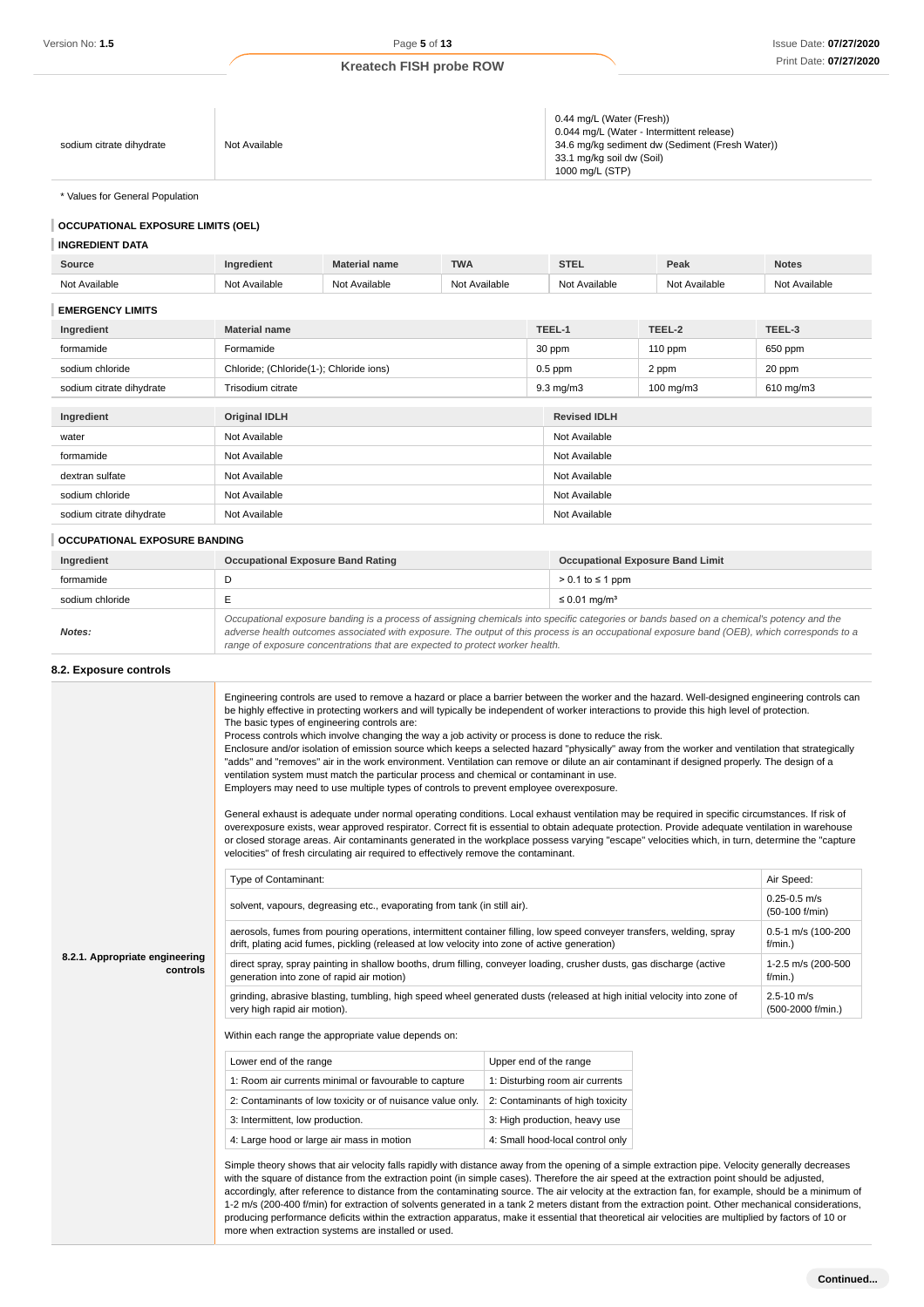|                          |               | 0.44 mg/L (Water (Fresh))                       |
|--------------------------|---------------|-------------------------------------------------|
|                          |               | 0.044 mg/L (Water - Intermittent release)       |
| sodium citrate dihydrate | Not Available | 34.6 mg/kg sediment dw (Sediment (Fresh Water)) |
|                          |               | 33.1 mg/kg soil dw (Soil)                       |
|                          |               | 1000 mg/L (STP)                                 |

\* Values for General Population

### **OCCUPATIONAL EXPOSURE LIMITS (OEL)**

#### **INGREDIENT DATA**

| Source                   | Ingredient                              | <b>Material name</b> | <b>TWA</b>    |                    | <b>STEL</b>          | Peak           | <b>Notes</b>  |
|--------------------------|-----------------------------------------|----------------------|---------------|--------------------|----------------------|----------------|---------------|
| Not Available            | Not Available                           | Not Available        | Not Available |                    | Not Available        | Not Available  | Not Available |
| <b>EMERGENCY LIMITS</b>  |                                         |                      |               |                    |                      |                |               |
| Ingredient               | <b>Material name</b>                    |                      |               |                    | TEEL-1               | TEEL-2         | TEEL-3        |
| formamide                | Formamide                               |                      |               |                    | 30 ppm               | $110$ ppm      | 650 ppm       |
| sodium chloride          | Chloride; (Chloride(1-); Chloride ions) |                      |               |                    | $0.5$ ppm            | 2 ppm          | 20 ppm        |
| sodium citrate dihydrate | Trisodium citrate                       |                      |               | $9.3 \text{ mg/m}$ | $100 \text{ mg/m}$ 3 | $610$ mg/m $3$ |               |
| Ingredient               | <b>Original IDLH</b>                    |                      |               |                    | <b>Revised IDLH</b>  |                |               |
| water                    | Not Available                           |                      |               |                    | Not Available        |                |               |
| formamide                | Not Available                           |                      | Not Available |                    |                      |                |               |
| dextran sulfate          | Not Available                           |                      | Not Available |                    |                      |                |               |
| sodium chloride          | Not Available                           |                      |               |                    | Not Available        |                |               |
| sodium citrate dihydrate | Not Available                           |                      |               |                    | Not Available        |                |               |

#### **OCCUPATIONAL EXPOSURE BANDING**

| Ingredient      | <b>Occupational Exposure Band Rating</b>                                                                                                                                                                                                                                                 | <b>Occupational Exposure Band Limit</b> |
|-----------------|------------------------------------------------------------------------------------------------------------------------------------------------------------------------------------------------------------------------------------------------------------------------------------------|-----------------------------------------|
| formamide       |                                                                                                                                                                                                                                                                                          | $> 0.1$ to $\leq 1$ ppm                 |
| sodium chloride |                                                                                                                                                                                                                                                                                          | $\leq$ 0.01 mg/m <sup>3</sup>           |
| Notes:          | Occupational exposure banding is a process of assigning chemicals into specific categories or bands based on a chemical's potency and the<br>adverse health outcomes associated with exposure. The output of this process is an occupational exposure band (OEB), which corresponds to a |                                         |

adverse health outcomes associated with exposure. The output of this process is an occupational exposure band (OEB), which corresponds to a range of exposure concentrations that are expected to protect worker health.

### **8.2. Exposure controls**

|                                            | Engineering controls are used to remove a hazard or place a barrier between the worker and the hazard. Well-designed engineering controls can<br>be highly effective in protecting workers and will typically be independent of worker interactions to provide this high level of protection.<br>The basic types of engineering controls are:<br>Process controls which involve changing the way a job activity or process is done to reduce the risk.<br>Enclosure and/or isolation of emission source which keeps a selected hazard "physically" away from the worker and ventilation that strategically<br>"adds" and "removes" air in the work environment. Ventilation can remove or dilute an air contaminant if designed properly. The design of a<br>ventilation system must match the particular process and chemical or contaminant in use.<br>Employers may need to use multiple types of controls to prevent employee overexposure.<br>General exhaust is adequate under normal operating conditions. Local exhaust ventilation may be required in specific circumstances. If risk of<br>overexposure exists, wear approved respirator. Correct fit is essential to obtain adequate protection. Provide adequate ventilation in warehouse<br>or closed storage areas. Air contaminants generated in the workplace possess varying "escape" velocities which, in turn, determine the "capture<br>velocities" of fresh circulating air required to effectively remove the contaminant. |                                     |            |  |  |
|--------------------------------------------|--------------------------------------------------------------------------------------------------------------------------------------------------------------------------------------------------------------------------------------------------------------------------------------------------------------------------------------------------------------------------------------------------------------------------------------------------------------------------------------------------------------------------------------------------------------------------------------------------------------------------------------------------------------------------------------------------------------------------------------------------------------------------------------------------------------------------------------------------------------------------------------------------------------------------------------------------------------------------------------------------------------------------------------------------------------------------------------------------------------------------------------------------------------------------------------------------------------------------------------------------------------------------------------------------------------------------------------------------------------------------------------------------------------------------------------------------------------------------------------------------|-------------------------------------|------------|--|--|
|                                            | Type of Contaminant:                                                                                                                                                                                                                                                                                                                                                                                                                                                                                                                                                                                                                                                                                                                                                                                                                                                                                                                                                                                                                                                                                                                                                                                                                                                                                                                                                                                                                                                                             |                                     | Air Speed: |  |  |
|                                            | solvent, vapours, degreasing etc., evaporating from tank (in still air).                                                                                                                                                                                                                                                                                                                                                                                                                                                                                                                                                                                                                                                                                                                                                                                                                                                                                                                                                                                                                                                                                                                                                                                                                                                                                                                                                                                                                         | $0.25 - 0.5$ m/s<br>(50-100 f/min)  |            |  |  |
|                                            | aerosols, fumes from pouring operations, intermittent container filling, low speed conveyer transfers, welding, spray<br>drift, plating acid fumes, pickling (released at low velocity into zone of active generation)                                                                                                                                                                                                                                                                                                                                                                                                                                                                                                                                                                                                                                                                                                                                                                                                                                                                                                                                                                                                                                                                                                                                                                                                                                                                           | 0.5-1 m/s (100-200<br>$f/min.$ )    |            |  |  |
| 8.2.1. Appropriate engineering<br>controls | direct spray, spray painting in shallow booths, drum filling, conveyer loading, crusher dusts, gas discharge (active<br>generation into zone of rapid air motion)                                                                                                                                                                                                                                                                                                                                                                                                                                                                                                                                                                                                                                                                                                                                                                                                                                                                                                                                                                                                                                                                                                                                                                                                                                                                                                                                | 1-2.5 m/s (200-500<br>f/min.)       |            |  |  |
|                                            | grinding, abrasive blasting, tumbling, high speed wheel generated dusts (released at high initial velocity into zone of<br>very high rapid air motion).                                                                                                                                                                                                                                                                                                                                                                                                                                                                                                                                                                                                                                                                                                                                                                                                                                                                                                                                                                                                                                                                                                                                                                                                                                                                                                                                          | $2.5 - 10$ m/s<br>(500-2000 f/min.) |            |  |  |
|                                            | Within each range the appropriate value depends on:                                                                                                                                                                                                                                                                                                                                                                                                                                                                                                                                                                                                                                                                                                                                                                                                                                                                                                                                                                                                                                                                                                                                                                                                                                                                                                                                                                                                                                              |                                     |            |  |  |
|                                            | Lower end of the range                                                                                                                                                                                                                                                                                                                                                                                                                                                                                                                                                                                                                                                                                                                                                                                                                                                                                                                                                                                                                                                                                                                                                                                                                                                                                                                                                                                                                                                                           | Upper end of the range              |            |  |  |
|                                            | 1: Room air currents minimal or favourable to capture                                                                                                                                                                                                                                                                                                                                                                                                                                                                                                                                                                                                                                                                                                                                                                                                                                                                                                                                                                                                                                                                                                                                                                                                                                                                                                                                                                                                                                            | 1: Disturbing room air currents     |            |  |  |
|                                            | 2: Contaminants of low toxicity or of nuisance value only.                                                                                                                                                                                                                                                                                                                                                                                                                                                                                                                                                                                                                                                                                                                                                                                                                                                                                                                                                                                                                                                                                                                                                                                                                                                                                                                                                                                                                                       | 2: Contaminants of high toxicity    |            |  |  |
|                                            | 3: Intermittent, low production.<br>3: High production, heavy use                                                                                                                                                                                                                                                                                                                                                                                                                                                                                                                                                                                                                                                                                                                                                                                                                                                                                                                                                                                                                                                                                                                                                                                                                                                                                                                                                                                                                                |                                     |            |  |  |
|                                            | 4: Large hood or large air mass in motion                                                                                                                                                                                                                                                                                                                                                                                                                                                                                                                                                                                                                                                                                                                                                                                                                                                                                                                                                                                                                                                                                                                                                                                                                                                                                                                                                                                                                                                        | 4: Small hood-local control only    |            |  |  |
|                                            | Simple theory shows that air velocity falls rapidly with distance away from the opening of a simple extraction pipe. Velocity generally decreases<br>with the square of distance from the extraction point (in simple cases). Therefore the air speed at the extraction point should be adjusted,<br>accordingly, after reference to distance from the contaminating source. The air velocity at the extraction fan, for example, should be a minimum of<br>1-2 m/s (200-400 f/min) for extraction of solvents generated in a tank 2 meters distant from the extraction point. Other mechanical considerations,<br>producing performance deficits within the extraction apparatus, make it essential that theoretical air velocities are multiplied by factors of 10 or<br>more when extraction systems are installed or used.                                                                                                                                                                                                                                                                                                                                                                                                                                                                                                                                                                                                                                                                   |                                     |            |  |  |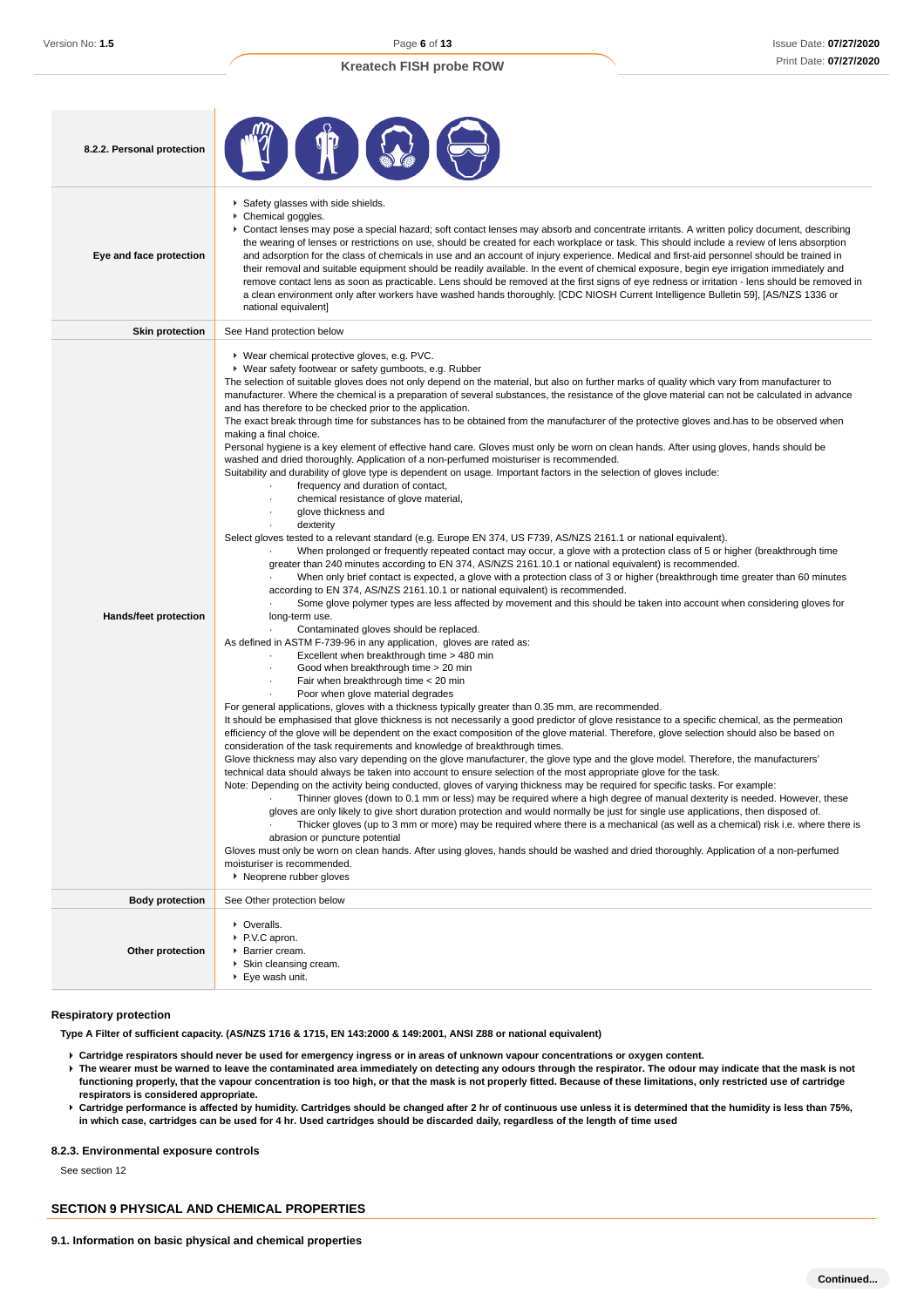| 8.2.2. Personal protection   |                                                                                                                                                                                                                                                                                                                                                                                                                                                                                                                                                                                                                                                                                                                                                                                                                                                                                                                                                                                                                                                                                                                                                                                                                                                                                                                                                                                                                                                                                                                                                                                                                                                                                                                                                                                                                                                                                                                                                                                                                                                                                                                                                                                                                                                                                                                                                                                                                                                                                                                                                                                                                                                                                                                                                                                                                                                                                                                                                                                                                                                                                                                                                                                                                                                                                                                                                                                                                                                                                                                                                                                                                                                                                      |
|------------------------------|--------------------------------------------------------------------------------------------------------------------------------------------------------------------------------------------------------------------------------------------------------------------------------------------------------------------------------------------------------------------------------------------------------------------------------------------------------------------------------------------------------------------------------------------------------------------------------------------------------------------------------------------------------------------------------------------------------------------------------------------------------------------------------------------------------------------------------------------------------------------------------------------------------------------------------------------------------------------------------------------------------------------------------------------------------------------------------------------------------------------------------------------------------------------------------------------------------------------------------------------------------------------------------------------------------------------------------------------------------------------------------------------------------------------------------------------------------------------------------------------------------------------------------------------------------------------------------------------------------------------------------------------------------------------------------------------------------------------------------------------------------------------------------------------------------------------------------------------------------------------------------------------------------------------------------------------------------------------------------------------------------------------------------------------------------------------------------------------------------------------------------------------------------------------------------------------------------------------------------------------------------------------------------------------------------------------------------------------------------------------------------------------------------------------------------------------------------------------------------------------------------------------------------------------------------------------------------------------------------------------------------------------------------------------------------------------------------------------------------------------------------------------------------------------------------------------------------------------------------------------------------------------------------------------------------------------------------------------------------------------------------------------------------------------------------------------------------------------------------------------------------------------------------------------------------------------------------------------------------------------------------------------------------------------------------------------------------------------------------------------------------------------------------------------------------------------------------------------------------------------------------------------------------------------------------------------------------------------------------------------------------------------------------------------------------------|
| Eye and face protection      | Safety glasses with side shields.<br>Chemical goggles.<br>▶ Contact lenses may pose a special hazard; soft contact lenses may absorb and concentrate irritants. A written policy document, describing<br>the wearing of lenses or restrictions on use, should be created for each workplace or task. This should include a review of lens absorption<br>and adsorption for the class of chemicals in use and an account of injury experience. Medical and first-aid personnel should be trained in<br>their removal and suitable equipment should be readily available. In the event of chemical exposure, begin eye irrigation immediately and<br>remove contact lens as soon as practicable. Lens should be removed at the first signs of eye redness or irritation - lens should be removed in<br>a clean environment only after workers have washed hands thoroughly. [CDC NIOSH Current Intelligence Bulletin 59], [AS/NZS 1336 or<br>national equivalent]                                                                                                                                                                                                                                                                                                                                                                                                                                                                                                                                                                                                                                                                                                                                                                                                                                                                                                                                                                                                                                                                                                                                                                                                                                                                                                                                                                                                                                                                                                                                                                                                                                                                                                                                                                                                                                                                                                                                                                                                                                                                                                                                                                                                                                                                                                                                                                                                                                                                                                                                                                                                                                                                                                                      |
| <b>Skin protection</b>       | See Hand protection below                                                                                                                                                                                                                                                                                                                                                                                                                                                                                                                                                                                                                                                                                                                                                                                                                                                                                                                                                                                                                                                                                                                                                                                                                                                                                                                                                                                                                                                                                                                                                                                                                                                                                                                                                                                                                                                                                                                                                                                                                                                                                                                                                                                                                                                                                                                                                                                                                                                                                                                                                                                                                                                                                                                                                                                                                                                                                                                                                                                                                                                                                                                                                                                                                                                                                                                                                                                                                                                                                                                                                                                                                                                            |
| <b>Hands/feet protection</b> | ▶ Wear chemical protective gloves, e.g. PVC.<br>▶ Wear safety footwear or safety gumboots, e.g. Rubber<br>The selection of suitable gloves does not only depend on the material, but also on further marks of quality which vary from manufacturer to<br>manufacturer. Where the chemical is a preparation of several substances, the resistance of the glove material can not be calculated in advance<br>and has therefore to be checked prior to the application.<br>The exact break through time for substances has to be obtained from the manufacturer of the protective gloves and has to be observed when<br>making a final choice.<br>Personal hygiene is a key element of effective hand care. Gloves must only be worn on clean hands. After using gloves, hands should be<br>washed and dried thoroughly. Application of a non-perfumed moisturiser is recommended.<br>Suitability and durability of glove type is dependent on usage. Important factors in the selection of gloves include:<br>frequency and duration of contact,<br>chemical resistance of glove material,<br>glove thickness and<br>dexterity<br>Select gloves tested to a relevant standard (e.g. Europe EN 374, US F739, AS/NZS 2161.1 or national equivalent).<br>When prolonged or frequently repeated contact may occur, a glove with a protection class of 5 or higher (breakthrough time<br>greater than 240 minutes according to EN 374, AS/NZS 2161.10.1 or national equivalent) is recommended.<br>When only brief contact is expected, a glove with a protection class of 3 or higher (breakthrough time greater than 60 minutes<br>according to EN 374, AS/NZS 2161.10.1 or national equivalent) is recommended.<br>Some glove polymer types are less affected by movement and this should be taken into account when considering gloves for<br>long-term use.<br>Contaminated gloves should be replaced.<br>As defined in ASTM F-739-96 in any application, gloves are rated as:<br>Excellent when breakthrough time > 480 min<br>Good when breakthrough time > 20 min<br>Fair when breakthrough time < 20 min<br>Poor when glove material degrades<br>For general applications, gloves with a thickness typically greater than 0.35 mm, are recommended.<br>It should be emphasised that glove thickness is not necessarily a good predictor of glove resistance to a specific chemical, as the permeation<br>efficiency of the glove will be dependent on the exact composition of the glove material. Therefore, glove selection should also be based on<br>consideration of the task requirements and knowledge of breakthrough times.<br>Glove thickness may also vary depending on the glove manufacturer, the glove type and the glove model. Therefore, the manufacturers'<br>technical data should always be taken into account to ensure selection of the most appropriate glove for the task.<br>Note: Depending on the activity being conducted, gloves of varying thickness may be required for specific tasks. For example:<br>Thinner gloves (down to 0.1 mm or less) may be required where a high degree of manual dexterity is needed. However, these<br>gloves are only likely to give short duration protection and would normally be just for single use applications, then disposed of.<br>Thicker gloves (up to 3 mm or more) may be required where there is a mechanical (as well as a chemical) risk i.e. where there is<br>abrasion or puncture potential<br>Gloves must only be worn on clean hands. After using gloves, hands should be washed and dried thoroughly. Application of a non-perfumed<br>moisturiser is recommended.<br>▶ Neoprene rubber gloves |
| <b>Body protection</b>       | See Other protection below                                                                                                                                                                                                                                                                                                                                                                                                                                                                                                                                                                                                                                                                                                                                                                                                                                                                                                                                                                                                                                                                                                                                                                                                                                                                                                                                                                                                                                                                                                                                                                                                                                                                                                                                                                                                                                                                                                                                                                                                                                                                                                                                                                                                                                                                                                                                                                                                                                                                                                                                                                                                                                                                                                                                                                                                                                                                                                                                                                                                                                                                                                                                                                                                                                                                                                                                                                                                                                                                                                                                                                                                                                                           |
| Other protection             | • Overalls.<br>▶ P.V.C apron.<br>▶ Barrier cream.<br>Skin cleansing cream.<br>▶ Eye wash unit.                                                                                                                                                                                                                                                                                                                                                                                                                                                                                                                                                                                                                                                                                                                                                                                                                                                                                                                                                                                                                                                                                                                                                                                                                                                                                                                                                                                                                                                                                                                                                                                                                                                                                                                                                                                                                                                                                                                                                                                                                                                                                                                                                                                                                                                                                                                                                                                                                                                                                                                                                                                                                                                                                                                                                                                                                                                                                                                                                                                                                                                                                                                                                                                                                                                                                                                                                                                                                                                                                                                                                                                       |

#### **Respiratory protection**

**Type A Filter of sufficient capacity. (AS/NZS 1716 & 1715, EN 143:2000 & 149:2001, ANSI Z88 or national equivalent)**

- **Cartridge respirators should never be used for emergency ingress or in areas of unknown vapour concentrations or oxygen content.**
- **The wearer must be warned to leave the contaminated area immediately on detecting any odours through the respirator. The odour may indicate that the mask is not functioning properly, that the vapour concentration is too high, or that the mask is not properly fitted. Because of these limitations, only restricted use of cartridge respirators is considered appropriate.**
- **Cartridge performance is affected by humidity. Cartridges should be changed after 2 hr of continuous use unless it is determined that the humidity is less than 75%, in which case, cartridges can be used for 4 hr. Used cartridges should be discarded daily, regardless of the length of time used**

#### **8.2.3. Environmental exposure controls**

See section 12

## **SECTION 9 PHYSICAL AND CHEMICAL PROPERTIES**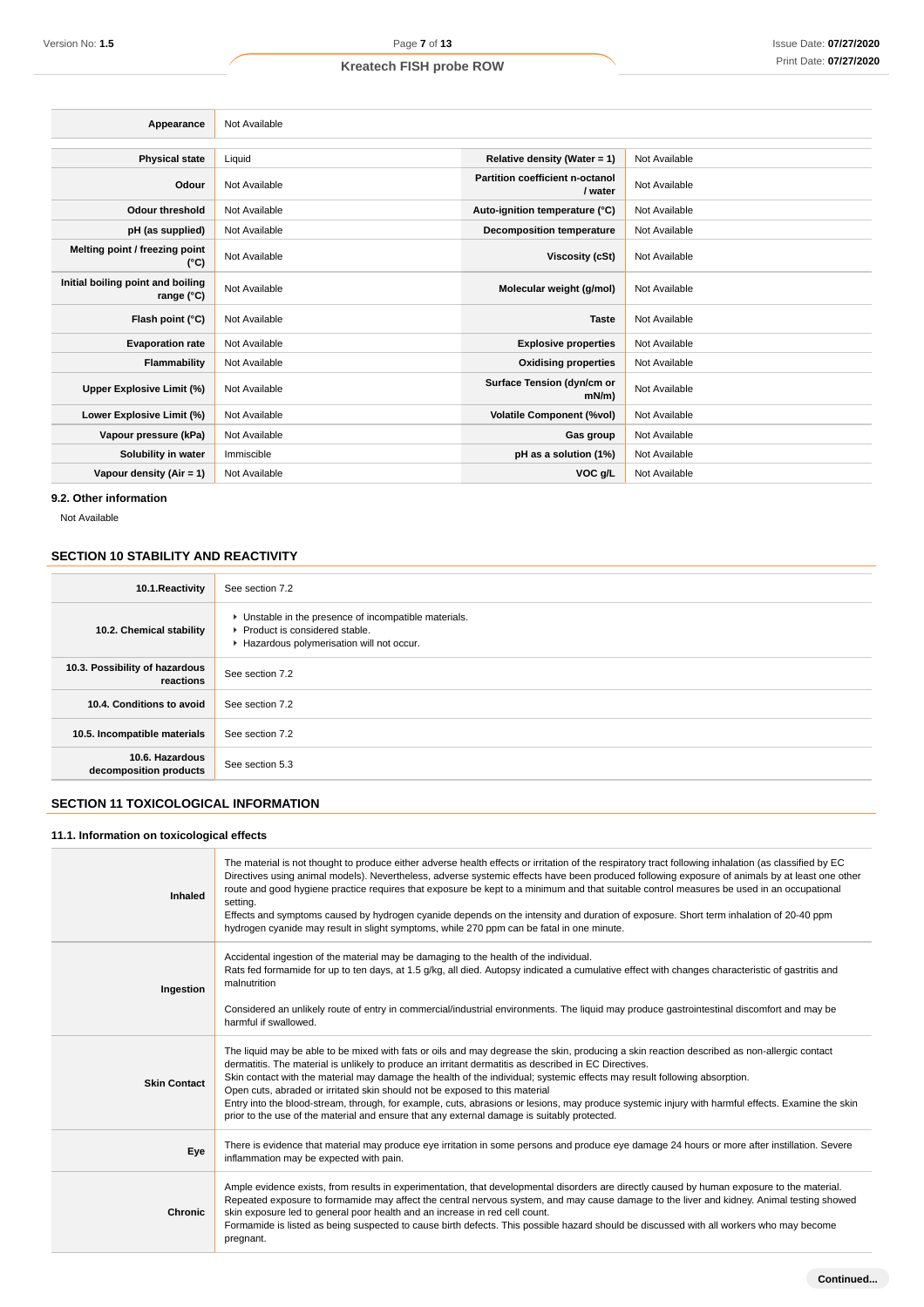### Issue Date: **07/27/2020** Print Date: **07/27/2020**

## **Kreatech FISH probe ROW**

| Appearance                                               | Not Available |                                            |               |
|----------------------------------------------------------|---------------|--------------------------------------------|---------------|
| <b>Physical state</b>                                    | Liquid        | Relative density (Water = 1)               | Not Available |
| Odour                                                    | Not Available | Partition coefficient n-octanol<br>/ water | Not Available |
| <b>Odour threshold</b>                                   | Not Available | Auto-ignition temperature (°C)             | Not Available |
| pH (as supplied)                                         | Not Available | <b>Decomposition temperature</b>           | Not Available |
| Melting point / freezing point<br>(°C)                   | Not Available | Viscosity (cSt)                            | Not Available |
| Initial boiling point and boiling<br>range $(^{\circ}C)$ | Not Available | Molecular weight (g/mol)                   | Not Available |
| Flash point (°C)                                         | Not Available | <b>Taste</b>                               | Not Available |
| <b>Evaporation rate</b>                                  | Not Available | <b>Explosive properties</b>                | Not Available |
| Flammability                                             | Not Available | <b>Oxidising properties</b>                | Not Available |
| Upper Explosive Limit (%)                                | Not Available | Surface Tension (dyn/cm or<br>mN/m)        | Not Available |
| Lower Explosive Limit (%)                                | Not Available | <b>Volatile Component (%vol)</b>           | Not Available |
| Vapour pressure (kPa)                                    | Not Available | Gas group                                  | Not Available |
| Solubility in water                                      | Immiscible    | pH as a solution (1%)                      | Not Available |
| Vapour density $(Air = 1)$                               | Not Available | VOC g/L                                    | Not Available |
|                                                          |               |                                            |               |

**9.2. Other information**

Not Available

## **SECTION 10 STABILITY AND REACTIVITY**

| 10.1. Reactivity                            | See section 7.2                                                                                                                      |
|---------------------------------------------|--------------------------------------------------------------------------------------------------------------------------------------|
| 10.2. Chemical stability                    | • Unstable in the presence of incompatible materials.<br>▶ Product is considered stable.<br>Hazardous polymerisation will not occur. |
| 10.3. Possibility of hazardous<br>reactions | See section 7.2                                                                                                                      |
| 10.4. Conditions to avoid                   | See section 7.2                                                                                                                      |
| 10.5. Incompatible materials                | See section 7.2                                                                                                                      |
| 10.6. Hazardous<br>decomposition products   | See section 5.3                                                                                                                      |

## **SECTION 11 TOXICOLOGICAL INFORMATION**

### **11.1. Information on toxicological effects**

| Inhaled             | The material is not thought to produce either adverse health effects or irritation of the respiratory tract following inhalation (as classified by EC<br>Directives using animal models). Nevertheless, adverse systemic effects have been produced following exposure of animals by at least one other<br>route and good hygiene practice requires that exposure be kept to a minimum and that suitable control measures be used in an occupational<br>setting.<br>Effects and symptoms caused by hydrogen cyanide depends on the intensity and duration of exposure. Short term inhalation of 20-40 ppm<br>hydrogen cyanide may result in slight symptoms, while 270 ppm can be fatal in one minute.               |
|---------------------|----------------------------------------------------------------------------------------------------------------------------------------------------------------------------------------------------------------------------------------------------------------------------------------------------------------------------------------------------------------------------------------------------------------------------------------------------------------------------------------------------------------------------------------------------------------------------------------------------------------------------------------------------------------------------------------------------------------------|
| Ingestion           | Accidental ingestion of the material may be damaging to the health of the individual.<br>Rats fed formamide for up to ten days, at 1.5 g/kg, all died. Autopsy indicated a cumulative effect with changes characteristic of gastritis and<br>malnutrition<br>Considered an unlikely route of entry in commercial/industrial environments. The liquid may produce gastrointestinal discomfort and may be<br>harmful if swallowed.                                                                                                                                                                                                                                                                                     |
| <b>Skin Contact</b> | The liquid may be able to be mixed with fats or oils and may degrease the skin, producing a skin reaction described as non-allergic contact<br>dermatitis. The material is unlikely to produce an irritant dermatitis as described in EC Directives.<br>Skin contact with the material may damage the health of the individual; systemic effects may result following absorption.<br>Open cuts, abraded or irritated skin should not be exposed to this material<br>Entry into the blood-stream, through, for example, cuts, abrasions or lesions, may produce systemic injury with harmful effects. Examine the skin<br>prior to the use of the material and ensure that any external damage is suitably protected. |
| Eye                 | There is evidence that material may produce eye irritation in some persons and produce eye damage 24 hours or more after instillation. Severe<br>inflammation may be expected with pain.                                                                                                                                                                                                                                                                                                                                                                                                                                                                                                                             |
| Chronic             | Ample evidence exists, from results in experimentation, that developmental disorders are directly caused by human exposure to the material.<br>Repeated exposure to formamide may affect the central nervous system, and may cause damage to the liver and kidney. Animal testing showed<br>skin exposure led to general poor health and an increase in red cell count.<br>Formamide is listed as being suspected to cause birth defects. This possible hazard should be discussed with all workers who may become<br>pregnant.                                                                                                                                                                                      |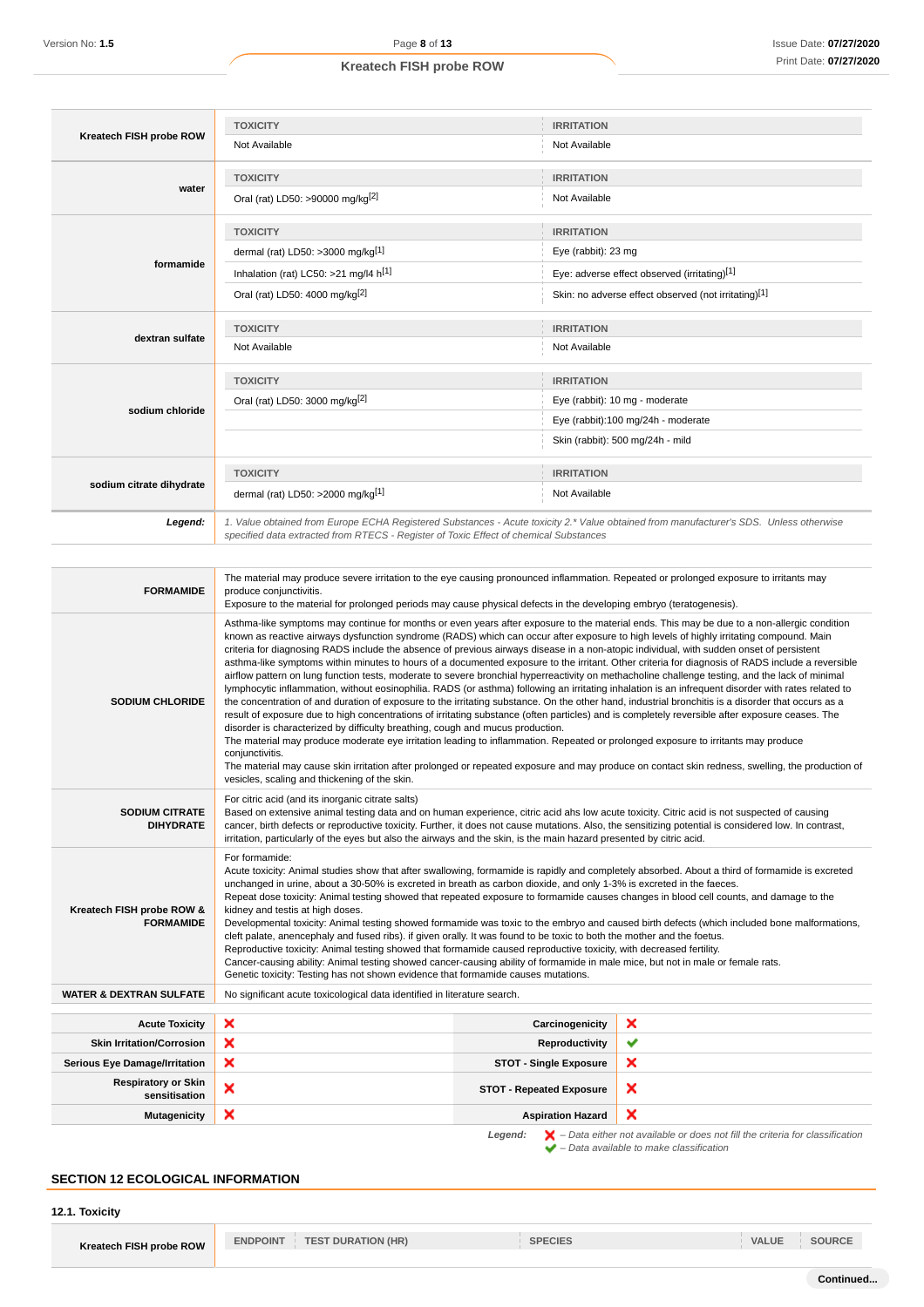| Kreatech FISH probe ROW  | <b>TOXICITY</b>                                                                                                                        | <b>IRRITATION</b>                                    |
|--------------------------|----------------------------------------------------------------------------------------------------------------------------------------|------------------------------------------------------|
|                          | Not Available                                                                                                                          | Not Available                                        |
|                          | <b>TOXICITY</b>                                                                                                                        | <b>IRRITATION</b>                                    |
| water                    | Oral (rat) LD50: >90000 mg/kg <sup>[2]</sup>                                                                                           | Not Available                                        |
|                          | <b>TOXICITY</b>                                                                                                                        | <b>IRRITATION</b>                                    |
|                          | dermal (rat) LD50: >3000 mg/kg <sup>[1]</sup>                                                                                          | Eye (rabbit): 23 mg                                  |
| formamide                | Inhalation (rat) LC50: >21 mg/l4 h[1]                                                                                                  | Eye: adverse effect observed (irritating)[1]         |
|                          | Oral (rat) LD50: 4000 mg/kg <sup>[2]</sup>                                                                                             | Skin: no adverse effect observed (not irritating)[1] |
| dextran sulfate          | <b>TOXICITY</b>                                                                                                                        | <b>IRRITATION</b>                                    |
|                          | Not Available                                                                                                                          | Not Available                                        |
|                          | <b>TOXICITY</b>                                                                                                                        | <b>IRRITATION</b>                                    |
| sodium chloride          | Oral (rat) LD50: 3000 mg/kg <sup>[2]</sup>                                                                                             | Eye (rabbit): 10 mg - moderate                       |
|                          |                                                                                                                                        | Eye (rabbit):100 mg/24h - moderate                   |
|                          |                                                                                                                                        | Skin (rabbit): 500 mg/24h - mild                     |
|                          | <b>TOXICITY</b>                                                                                                                        | <b>IRRITATION</b>                                    |
| sodium citrate dihydrate | dermal (rat) LD50: >2000 mg/kg[1]                                                                                                      | Not Available                                        |
| Legend:                  | 1. Value obtained from Europe ECHA Registered Substances - Acute toxicity 2.* Value obtained from manufacturer's SDS. Unless otherwise |                                                      |

| <b>FORMAMIDE</b>                                                                                                                                                               | The material may produce severe irritation to the eye causing pronounced inflammation. Repeated or prolonged exposure to irritants may<br>produce conjunctivitis.<br>Exposure to the material for prolonged periods may cause physical defects in the developing embryo (teratogenesis).                                                                                                                                                                                                                                                                                                                                                                                                                                                                                                                                                                                                                                                                                                                                                                                                                                                                                                                                                                                                                                                                                                                                                                                                                                                                                                                                                                 |                                 |              |
|--------------------------------------------------------------------------------------------------------------------------------------------------------------------------------|----------------------------------------------------------------------------------------------------------------------------------------------------------------------------------------------------------------------------------------------------------------------------------------------------------------------------------------------------------------------------------------------------------------------------------------------------------------------------------------------------------------------------------------------------------------------------------------------------------------------------------------------------------------------------------------------------------------------------------------------------------------------------------------------------------------------------------------------------------------------------------------------------------------------------------------------------------------------------------------------------------------------------------------------------------------------------------------------------------------------------------------------------------------------------------------------------------------------------------------------------------------------------------------------------------------------------------------------------------------------------------------------------------------------------------------------------------------------------------------------------------------------------------------------------------------------------------------------------------------------------------------------------------|---------------------------------|--------------|
| <b>SODIUM CHLORIDE</b>                                                                                                                                                         | Asthma-like symptoms may continue for months or even years after exposure to the material ends. This may be due to a non-allergic condition<br>known as reactive airways dysfunction syndrome (RADS) which can occur after exposure to high levels of highly irritating compound. Main<br>criteria for diagnosing RADS include the absence of previous airways disease in a non-atopic individual, with sudden onset of persistent<br>asthma-like symptoms within minutes to hours of a documented exposure to the irritant. Other criteria for diagnosis of RADS include a reversible<br>airflow pattern on lung function tests, moderate to severe bronchial hyperreactivity on methacholine challenge testing, and the lack of minimal<br>lymphocytic inflammation, without eosinophilia. RADS (or asthma) following an irritating inhalation is an infrequent disorder with rates related to<br>the concentration of and duration of exposure to the irritating substance. On the other hand, industrial bronchitis is a disorder that occurs as a<br>result of exposure due to high concentrations of irritating substance (often particles) and is completely reversible after exposure ceases. The<br>disorder is characterized by difficulty breathing, cough and mucus production.<br>The material may produce moderate eye irritation leading to inflammation. Repeated or prolonged exposure to irritants may produce<br>conjunctivitis.<br>The material may cause skin irritation after prolonged or repeated exposure and may produce on contact skin redness, swelling, the production of<br>vesicles, scaling and thickening of the skin. |                                 |              |
| <b>SODIUM CITRATE</b><br><b>DIHYDRATE</b>                                                                                                                                      | For citric acid (and its inorganic citrate salts)<br>Based on extensive animal testing data and on human experience, citric acid ahs low acute toxicity. Citric acid is not suspected of causing<br>cancer, birth defects or reproductive toxicity. Further, it does not cause mutations. Also, the sensitizing potential is considered low. In contrast,<br>irritation, particularly of the eyes but also the airways and the skin, is the main hazard presented by citric acid.                                                                                                                                                                                                                                                                                                                                                                                                                                                                                                                                                                                                                                                                                                                                                                                                                                                                                                                                                                                                                                                                                                                                                                        |                                 |              |
| Kreatech FISH probe ROW &<br><b>FORMAMIDE</b>                                                                                                                                  | For formamide:<br>Acute toxicity: Animal studies show that after swallowing, formamide is rapidly and completely absorbed. About a third of formamide is excreted<br>unchanged in urine, about a 30-50% is excreted in breath as carbon dioxide, and only 1-3% is excreted in the faeces.<br>Repeat dose toxicity: Animal testing showed that repeated exposure to formamide causes changes in blood cell counts, and damage to the<br>kidney and testis at high doses.<br>Developmental toxicity: Animal testing showed formamide was toxic to the embryo and caused birth defects (which included bone malformations,<br>cleft palate, anencephaly and fused ribs). if given orally. It was found to be toxic to both the mother and the foetus.<br>Reproductive toxicity: Animal testing showed that formamide caused reproductive toxicity, with decreased fertility.<br>Cancer-causing ability: Animal testing showed cancer-causing ability of formamide in male mice, but not in male or female rats.<br>Genetic toxicity: Testing has not shown evidence that formamide causes mutations.                                                                                                                                                                                                                                                                                                                                                                                                                                                                                                                                                        |                                 |              |
| <b>WATER &amp; DEXTRAN SULFATE</b>                                                                                                                                             | No significant acute toxicological data identified in literature search.                                                                                                                                                                                                                                                                                                                                                                                                                                                                                                                                                                                                                                                                                                                                                                                                                                                                                                                                                                                                                                                                                                                                                                                                                                                                                                                                                                                                                                                                                                                                                                                 |                                 |              |
| <b>Acute Toxicity</b>                                                                                                                                                          | ×                                                                                                                                                                                                                                                                                                                                                                                                                                                                                                                                                                                                                                                                                                                                                                                                                                                                                                                                                                                                                                                                                                                                                                                                                                                                                                                                                                                                                                                                                                                                                                                                                                                        | Carcinogenicity                 | ×            |
| <b>Skin Irritation/Corrosion</b>                                                                                                                                               | ×                                                                                                                                                                                                                                                                                                                                                                                                                                                                                                                                                                                                                                                                                                                                                                                                                                                                                                                                                                                                                                                                                                                                                                                                                                                                                                                                                                                                                                                                                                                                                                                                                                                        | Reproductivity                  | $\checkmark$ |
| <b>Serious Eye Damage/Irritation</b>                                                                                                                                           | ×                                                                                                                                                                                                                                                                                                                                                                                                                                                                                                                                                                                                                                                                                                                                                                                                                                                                                                                                                                                                                                                                                                                                                                                                                                                                                                                                                                                                                                                                                                                                                                                                                                                        | <b>STOT - Single Exposure</b>   | ×            |
| <b>Respiratory or Skin</b><br>sensitisation                                                                                                                                    | ×                                                                                                                                                                                                                                                                                                                                                                                                                                                                                                                                                                                                                                                                                                                                                                                                                                                                                                                                                                                                                                                                                                                                                                                                                                                                                                                                                                                                                                                                                                                                                                                                                                                        | <b>STOT - Repeated Exposure</b> | ×            |
| <b>Mutagenicity</b>                                                                                                                                                            | ×                                                                                                                                                                                                                                                                                                                                                                                                                                                                                                                                                                                                                                                                                                                                                                                                                                                                                                                                                                                                                                                                                                                                                                                                                                                                                                                                                                                                                                                                                                                                                                                                                                                        | <b>Aspiration Hazard</b>        | ×            |
| $\blacktriangleright$ - Data either not available or does not fill the criteria for classification<br>Legend:<br>$\blacktriangleright$ - Data available to make classification |                                                                                                                                                                                                                                                                                                                                                                                                                                                                                                                                                                                                                                                                                                                                                                                                                                                                                                                                                                                                                                                                                                                                                                                                                                                                                                                                                                                                                                                                                                                                                                                                                                                          |                                 |              |

## **SECTION 12 ECOLOGICAL INFORMATION**

**12.1. Toxicity**

**Kreatech FISH probe ROW ENDPOINT TEST DURATION (HR) SPECIES SPECIES VALUE SOURCE**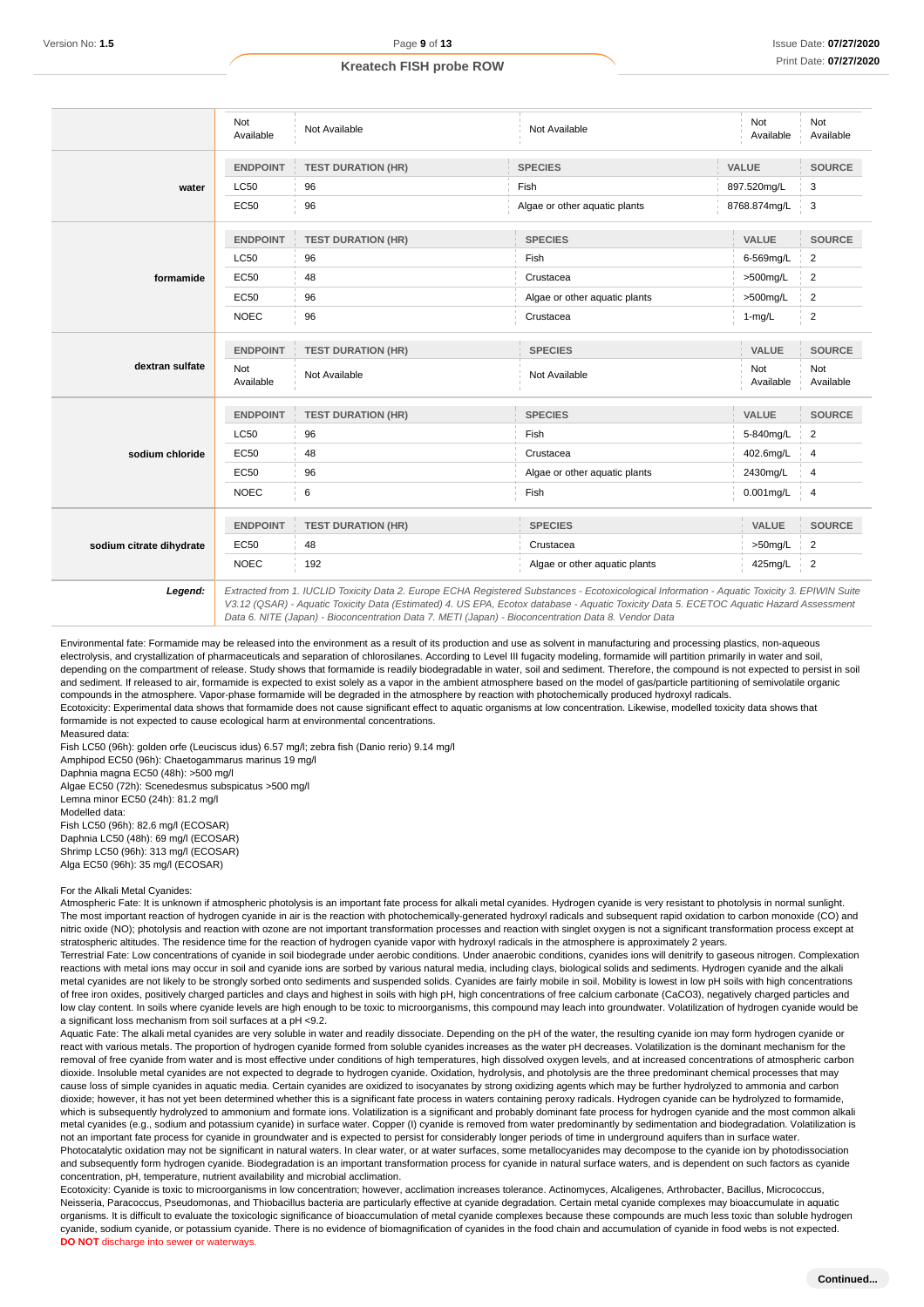| <b>TEST DURATION (HR)</b> |                               |                  | Available                                                                                                                                                                                                                                                                            |
|---------------------------|-------------------------------|------------------|--------------------------------------------------------------------------------------------------------------------------------------------------------------------------------------------------------------------------------------------------------------------------------------|
|                           | <b>SPECIES</b>                | VALUE            | <b>SOURCE</b>                                                                                                                                                                                                                                                                        |
|                           | Fish                          | 897.520mg/L      | 3                                                                                                                                                                                                                                                                                    |
|                           | Algae or other aquatic plants | 8768.874mg/L     | 3                                                                                                                                                                                                                                                                                    |
| <b>TEST DURATION (HR)</b> | <b>SPECIES</b>                | VALUE            | <b>SOURCE</b>                                                                                                                                                                                                                                                                        |
|                           | Fish                          | 6-569mg/L        | $\overline{2}$                                                                                                                                                                                                                                                                       |
|                           | Crustacea                     | >500mg/L         | $\overline{2}$                                                                                                                                                                                                                                                                       |
|                           | Algae or other aquatic plants | >500mg/L         | $\overline{2}$                                                                                                                                                                                                                                                                       |
|                           | Crustacea                     | $1-mg/L$         | 2                                                                                                                                                                                                                                                                                    |
| <b>TEST DURATION (HR)</b> | <b>SPECIES</b>                | VALUE            | <b>SOURCE</b>                                                                                                                                                                                                                                                                        |
| Not Available             | Not Available                 | Not<br>Available | Not<br>Available                                                                                                                                                                                                                                                                     |
| <b>TEST DURATION (HR)</b> | <b>SPECIES</b>                | <b>VALUE</b>     | <b>SOURCE</b>                                                                                                                                                                                                                                                                        |
|                           | Fish                          | 5-840mg/L        | $\overline{c}$                                                                                                                                                                                                                                                                       |
|                           | Crustacea                     | 402.6mg/L        |                                                                                                                                                                                                                                                                                      |
|                           | Algae or other aquatic plants | 2430mg/L         |                                                                                                                                                                                                                                                                                      |
|                           | Fish                          | 0.001mg/L        | 4                                                                                                                                                                                                                                                                                    |
| <b>TEST DURATION (HR)</b> | <b>SPECIES</b>                | VALUE            | <b>SOURCE</b>                                                                                                                                                                                                                                                                        |
|                           | Crustacea                     | $>50$ mg/L       | 2                                                                                                                                                                                                                                                                                    |
|                           | Algae or other aquatic plants | 425mg/L          | $\overline{2}$                                                                                                                                                                                                                                                                       |
| 48                        | 192                           |                  | Extracted from 1. IUCLID Toxicity Data 2. Europe ECHA Registered Substances - Ecotoxicological Information - Aquatic Toxicity 3. EPIWIN Suite<br>V3 12 (OSAR), Aquatic Tovicity Data (Estimated) A US EPA Ecotor database, Aquatic Tovicity Data 5, ECETOC Aquatic Hazard Assessment |

V3.12 (QSAR) - Aquatic Toxicity Data (Estimated) 4. US EPA, Ecotox database - Aquatic Toxicity Data 5. ECETOC Aquatic Hazard Assessment Data 6. NITE (Japan) - Bioconcentration Data 7. METI (Japan) - Bioconcentration Data 8. Vendor Data

Environmental fate: Formamide may be released into the environment as a result of its production and use as solvent in manufacturing and processing plastics, non-aqueous electrolysis, and crystallization of pharmaceuticals and separation of chlorosilanes. According to Level III fugacity modeling, formamide will partition primarily in water and soil, depending on the compartment of release. Study shows that formamide is readily biodegradable in water, soil and sediment. Therefore, the compound is not expected to persist in soil and sediment. If released to air, formamide is expected to exist solely as a vapor in the ambient atmosphere based on the model of gas/particle partitioning of semivolatile organic compounds in the atmosphere. Vapor-phase formamide will be degraded in the atmosphere by reaction with photochemically produced hydroxyl radicals. Ecotoxicity: Experimental data shows that formamide does not cause significant effect to aquatic organisms at low concentration. Likewise, modelled toxicity data shows that formamide is not expected to cause ecological harm at environmental concentrations. Measured data:

Fish LC50 (96h): golden orfe (Leuciscus idus) 6.57 mg/l; zebra fish (Danio rerio) 9.14 mg/l

Amphipod EC50 (96h): Chaetogammarus marinus 19 mg/l

Daphnia magna EC50 (48h): >500 mg/l

Algae EC50 (72h): Scenedesmus subspicatus >500 mg/l Lemna minor EC50 (24h): 81.2 mg/l Modelled data: Fish LC50 (96h): 82.6 mg/l (ECOSAR) Daphnia LC50 (48h): 69 mg/l (ECOSAR) Shrimp LC50 (96h): 313 mg/l (ECOSAR) Alga EC50 (96h): 35 mg/l (ECOSAR)

#### For the Alkali Metal Cyanides:

Atmospheric Fate: It is unknown if atmospheric photolysis is an important fate process for alkali metal cyanides. Hydrogen cyanide is very resistant to photolysis in normal sunlight. The most important reaction of hydrogen cyanide in air is the reaction with photochemically-generated hydroxyl radicals and subsequent rapid oxidation to carbon monoxide (CO) and nitric oxide (NO); photolysis and reaction with ozone are not important transformation processes and reaction with singlet oxygen is not a significant transformation process except at stratospheric altitudes. The residence time for the reaction of hydrogen cyanide vapor with hydroxyl radicals in the atmosphere is approximately 2 years.

Terrestrial Fate: Low concentrations of cyanide in soil biodegrade under aerobic conditions. Under anaerobic conditions, cyanides ions will denitrify to gaseous nitrogen. Complexation reactions with metal ions may occur in soil and cyanide ions are sorbed by various natural media, including clays, biological solids and sediments. Hydrogen cyanide and the alkali metal cyanides are not likely to be strongly sorbed onto sediments and suspended solids. Cyanides are fairly mobile in soil. Mobility is lowest in low pH soils with high concentrations of free iron oxides, positively charged particles and clays and highest in soils with high pH, high concentrations of free calcium carbonate (CaCO3), negatively charged particles and low clay content. In soils where cyanide levels are high enough to be toxic to microorganisms, this compound may leach into groundwater. Volatilization of hydrogen cyanide would be a significant loss mechanism from soil surfaces at a pH <9.2.

Aquatic Fate: The alkali metal cyanides are very soluble in water and readily dissociate. Depending on the pH of the water, the resulting cyanide ion may form hydrogen cyanide or react with various metals. The proportion of hydrogen cyanide formed from soluble cyanides increases as the water pH decreases. Volatilization is the dominant mechanism for the removal of free cyanide from water and is most effective under conditions of high temperatures, high dissolved oxygen levels, and at increased concentrations of atmospheric carbon dioxide. Insoluble metal cyanides are not expected to degrade to hydrogen cyanide. Oxidation, hydrolysis, and photolysis are the three predominant chemical processes that may cause loss of simple cyanides in aquatic media. Certain cyanides are oxidized to isocyanates by strong oxidizing agents which may be further hydrolyzed to ammonia and carbon dioxide; however, it has not yet been determined whether this is a significant fate process in waters containing peroxy radicals. Hydrogen cyanide can be hydrolyzed to formamide, which is subsequently hydrolyzed to ammonium and formate ions. Volatilization is a significant and probably dominant fate process for hydrogen cyanide and the most common alkali metal cyanides (e.g., sodium and potassium cyanide) in surface water. Copper (I) cyanide is removed from water predominantly by sedimentation and biodegradation. Volatilization is not an important fate process for cyanide in groundwater and is expected to persist for considerably longer periods of time in underground aquifers than in surface water. Photocatalytic oxidation may not be significant in natural waters. In clear water, or at water surfaces, some metallocyanides may decompose to the cyanide ion by photodissociation and subsequently form hydrogen cyanide. Biodegradation is an important transformation process for cyanide in natural surface waters, and is dependent on such factors as cyanide concentration, pH, temperature, nutrient availability and microbial acclimation.

Ecotoxicity: Cyanide is toxic to microorganisms in low concentration; however, acclimation increases tolerance. Actinomyces, Alcaligenes, Arthrobacter, Bacillus, Micrococcus, Neisseria, Paracoccus, Pseudomonas, and Thiobacillus bacteria are particularly effective at cyanide degradation. Certain metal cyanide complexes may bioaccumulate in aquatic organisms. It is difficult to evaluate the toxicologic significance of bioaccumulation of metal cyanide complexes because these compounds are much less toxic than soluble hydrogen cyanide, sodium cyanide, or potassium cyanide. There is no evidence of biomagnification of cyanides in the food chain and accumulation of cyanide in food webs is not expected. **DO NOT** discharge into sewer or waterways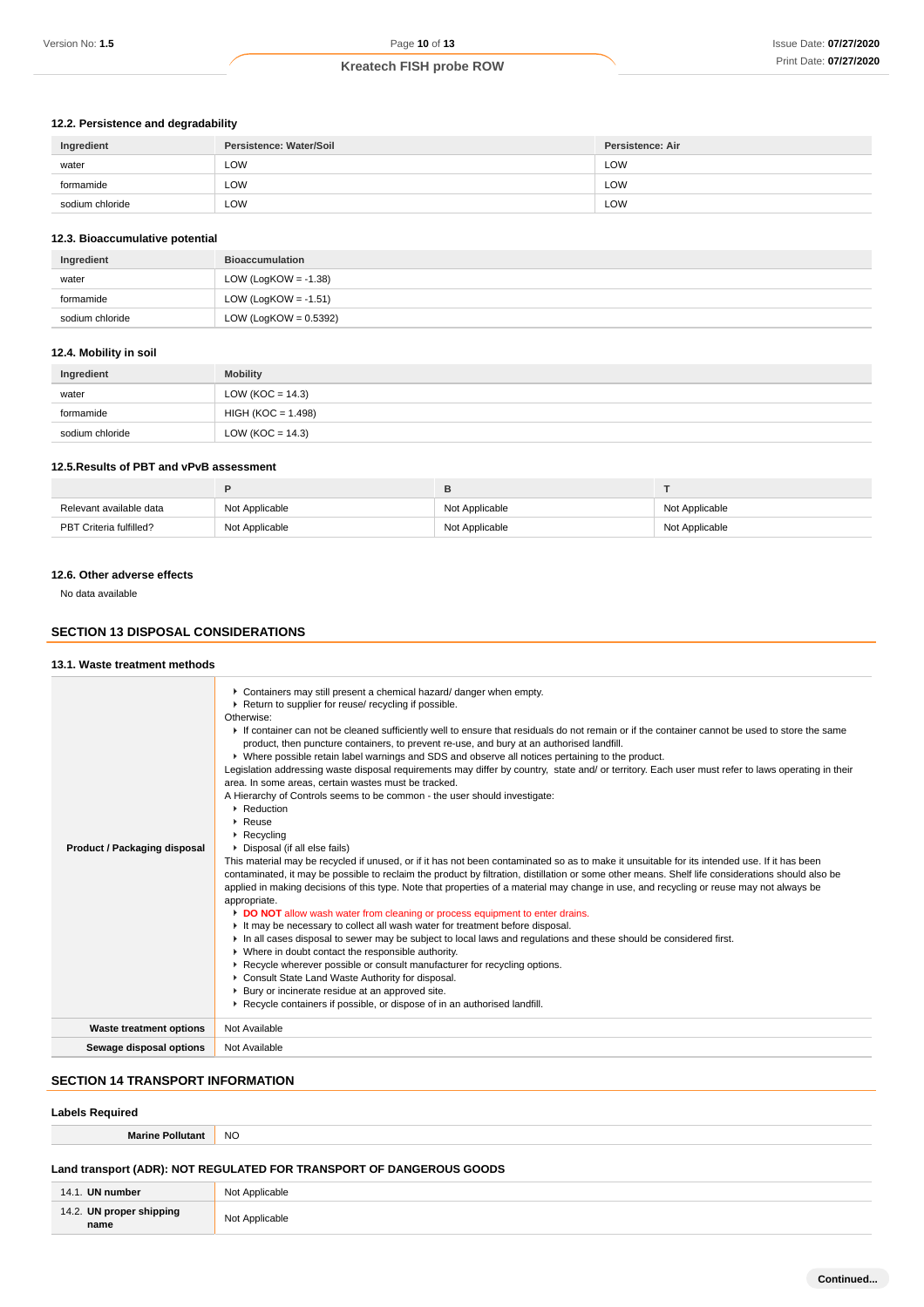## **12.2. Persistence and degradability**

| Ingredient      | Persistence: Water/Soil | <b>Persistence: Air</b> |
|-----------------|-------------------------|-------------------------|
| water           | LOW                     | LOW                     |
| formamide       | LOW                     | ∟OW                     |
| sodium chloride | LOW                     | ∟OW                     |

#### **12.3. Bioaccumulative potential**

| Ingredient      | <b>Bioaccumulation</b>   |
|-----------------|--------------------------|
| water           | LOW (LogKOW = $-1.38$ )  |
| formamide       | LOW (LogKOW = $-1.51$ )  |
| sodium chloride | LOW (LogKOW = $0.5392$ ) |

#### **12.4. Mobility in soil**

| Ingredient      | <b>Mobility</b>      |
|-----------------|----------------------|
| water           | LOW (KOC = $14.3$ )  |
| formamide       | $HIGH (KOC = 1.498)$ |
| sodium chloride | LOW (KOC = $14.3$ )  |

### **12.5.Results of PBT and vPvB assessment**

| Relevant available data | Not Applicable | Not Applicable | Not Applicable |
|-------------------------|----------------|----------------|----------------|
| PBT Criteria fulfilled? | Not Applicable | Not Applicable | Not Applicable |

#### **12.6. Other adverse effects**

No data available

#### **SECTION 13 DISPOSAL CONSIDERATIONS**

#### **13.1. Waste treatment methods**

| Product / Packaging disposal   | Containers may still present a chemical hazard/ danger when empty.<br>Return to supplier for reuse/ recycling if possible.<br>Otherwise:<br>If container can not be cleaned sufficiently well to ensure that residuals do not remain or if the container cannot be used to store the same<br>product, then puncture containers, to prevent re-use, and bury at an authorised landfill.<br>▶ Where possible retain label warnings and SDS and observe all notices pertaining to the product.<br>Legislation addressing waste disposal requirements may differ by country, state and/ or territory. Each user must refer to laws operating in their<br>area. In some areas, certain wastes must be tracked.<br>A Hierarchy of Controls seems to be common - the user should investigate:<br>▶ Reduction<br>$\triangleright$ Reuse<br>$\triangleright$ Recycling<br>• Disposal (if all else fails)<br>This material may be recycled if unused, or if it has not been contaminated so as to make it unsuitable for its intended use. If it has been<br>contaminated, it may be possible to reclaim the product by filtration, distillation or some other means. Shelf life considerations should also be<br>applied in making decisions of this type. Note that properties of a material may change in use, and recycling or reuse may not always be<br>appropriate.<br>DO NOT allow wash water from cleaning or process equipment to enter drains.<br>It may be necessary to collect all wash water for treatment before disposal.<br>In all cases disposal to sewer may be subject to local laws and regulations and these should be considered first.<br>• Where in doubt contact the responsible authority.<br>▶ Recycle wherever possible or consult manufacturer for recycling options.<br>Consult State Land Waste Authority for disposal.<br>Bury or incinerate residue at an approved site.<br>▶ Recycle containers if possible, or dispose of in an authorised landfill. |
|--------------------------------|--------------------------------------------------------------------------------------------------------------------------------------------------------------------------------------------------------------------------------------------------------------------------------------------------------------------------------------------------------------------------------------------------------------------------------------------------------------------------------------------------------------------------------------------------------------------------------------------------------------------------------------------------------------------------------------------------------------------------------------------------------------------------------------------------------------------------------------------------------------------------------------------------------------------------------------------------------------------------------------------------------------------------------------------------------------------------------------------------------------------------------------------------------------------------------------------------------------------------------------------------------------------------------------------------------------------------------------------------------------------------------------------------------------------------------------------------------------------------------------------------------------------------------------------------------------------------------------------------------------------------------------------------------------------------------------------------------------------------------------------------------------------------------------------------------------------------------------------------------------------------------------------------------------------------------------------------------------------------------|
| <b>Waste treatment options</b> | Not Available                                                                                                                                                                                                                                                                                                                                                                                                                                                                                                                                                                                                                                                                                                                                                                                                                                                                                                                                                                                                                                                                                                                                                                                                                                                                                                                                                                                                                                                                                                                                                                                                                                                                                                                                                                                                                                                                                                                                                                  |
| Sewage disposal options        | Not Available                                                                                                                                                                                                                                                                                                                                                                                                                                                                                                                                                                                                                                                                                                                                                                                                                                                                                                                                                                                                                                                                                                                                                                                                                                                                                                                                                                                                                                                                                                                                                                                                                                                                                                                                                                                                                                                                                                                                                                  |
|                                |                                                                                                                                                                                                                                                                                                                                                                                                                                                                                                                                                                                                                                                                                                                                                                                                                                                                                                                                                                                                                                                                                                                                                                                                                                                                                                                                                                                                                                                                                                                                                                                                                                                                                                                                                                                                                                                                                                                                                                                |

## **SECTION 14 TRANSPORT INFORMATION**

## **Labels Required**

| NO<br><b>Marine Pollutant</b>                                        |  |  |
|----------------------------------------------------------------------|--|--|
| Land transport (ADR): NOT REGULATED FOR TRANSPORT OF DANGEROUS GOODS |  |  |

| 14.2. UN proper shipping<br>Not<br>: Applicable | 14.<br>UN number | Not<br>Applicable |
|-------------------------------------------------|------------------|-------------------|
|                                                 | name             |                   |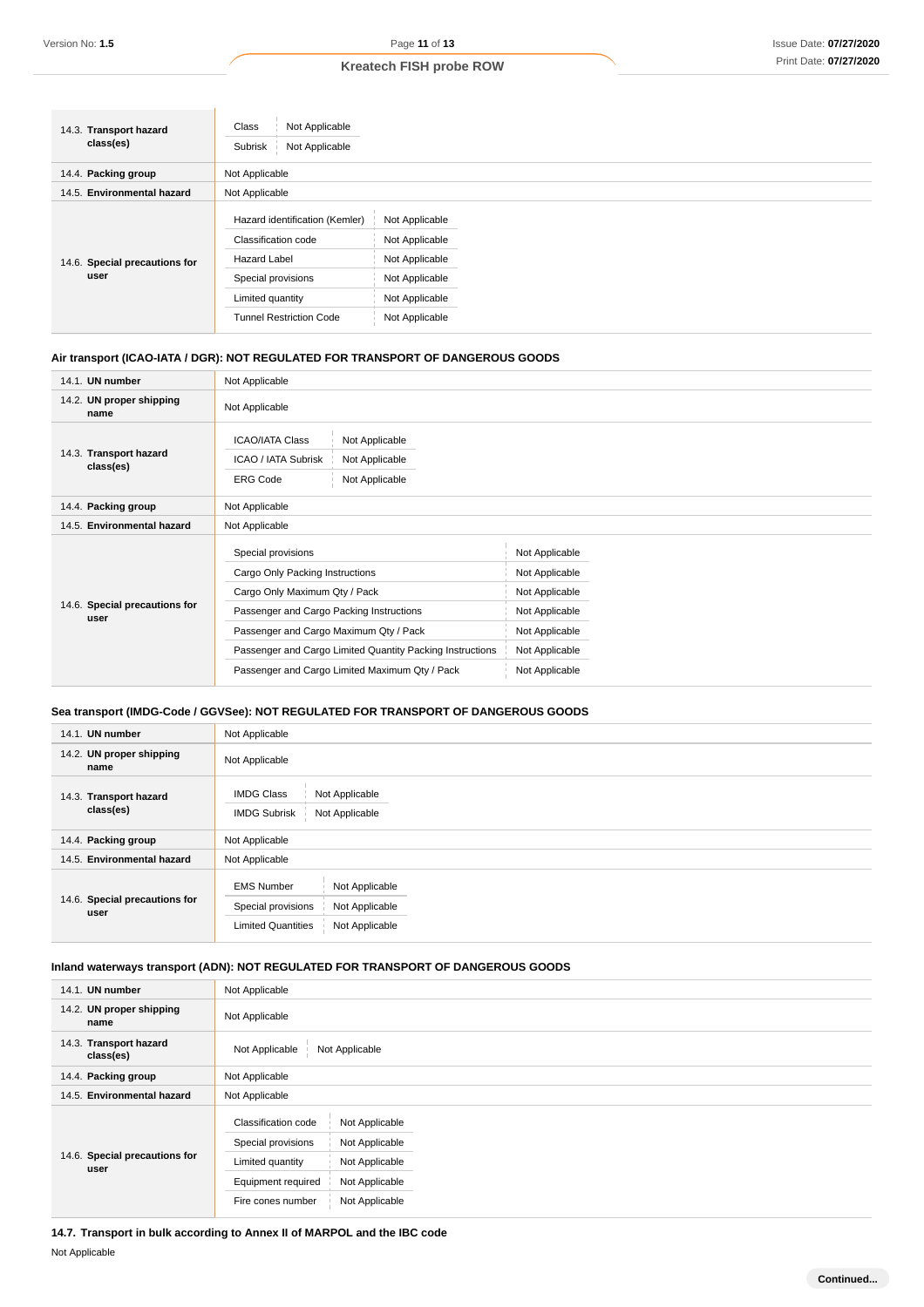| 14.3. Transport hazard<br>class(es)   | Class<br>Not Applicable<br>Not Applicable<br>Subrisk                                                                                                     |                                                                                                          |  |  |
|---------------------------------------|----------------------------------------------------------------------------------------------------------------------------------------------------------|----------------------------------------------------------------------------------------------------------|--|--|
| 14.4. Packing group                   | Not Applicable                                                                                                                                           |                                                                                                          |  |  |
| 14.5. Environmental hazard            | Not Applicable                                                                                                                                           |                                                                                                          |  |  |
| 14.6. Special precautions for<br>user | Hazard identification (Kemler)<br>Classification code<br><b>Hazard Label</b><br>Special provisions<br>Limited quantity<br><b>Tunnel Restriction Code</b> | Not Applicable<br>Not Applicable<br>Not Applicable<br>Not Applicable<br>Not Applicable<br>Not Applicable |  |  |

### **Air transport (ICAO-IATA / DGR): NOT REGULATED FOR TRANSPORT OF DANGEROUS GOODS**

| 14.1. UN number                       | Not Applicable                                                                                                                                                                                                                                                                              |                                                                                                                            |
|---------------------------------------|---------------------------------------------------------------------------------------------------------------------------------------------------------------------------------------------------------------------------------------------------------------------------------------------|----------------------------------------------------------------------------------------------------------------------------|
| 14.2. UN proper shipping<br>name      | Not Applicable                                                                                                                                                                                                                                                                              |                                                                                                                            |
| 14.3. Transport hazard<br>class(es)   | <b>ICAO/IATA Class</b><br>Not Applicable<br>ICAO / IATA Subrisk<br>Not Applicable<br><b>ERG Code</b><br>Not Applicable                                                                                                                                                                      |                                                                                                                            |
| 14.4. Packing group                   | Not Applicable                                                                                                                                                                                                                                                                              |                                                                                                                            |
| 14.5. Environmental hazard            | Not Applicable                                                                                                                                                                                                                                                                              |                                                                                                                            |
| 14.6. Special precautions for<br>user | Special provisions<br>Cargo Only Packing Instructions<br>Cargo Only Maximum Qty / Pack<br>Passenger and Cargo Packing Instructions<br>Passenger and Cargo Maximum Qty / Pack<br>Passenger and Cargo Limited Quantity Packing Instructions<br>Passenger and Cargo Limited Maximum Qty / Pack | Not Applicable<br>Not Applicable<br>Not Applicable<br>Not Applicable<br>Not Applicable<br>Not Applicable<br>Not Applicable |

## **Sea transport (IMDG-Code / GGVSee): NOT REGULATED FOR TRANSPORT OF DANGEROUS GOODS**

| 14.1. UN number                       | Not Applicable                                                                                                             |  |  |
|---------------------------------------|----------------------------------------------------------------------------------------------------------------------------|--|--|
| 14.2. UN proper shipping<br>name      | Not Applicable                                                                                                             |  |  |
| 14.3. Transport hazard<br>class(es)   | <b>IMDG Class</b><br>Not Applicable<br>Not Applicable<br><b>IMDG Subrisk</b>                                               |  |  |
| 14.4. Packing group                   | Not Applicable                                                                                                             |  |  |
| 14.5. Environmental hazard            | Not Applicable                                                                                                             |  |  |
| 14.6. Special precautions for<br>user | <b>EMS Number</b><br>Not Applicable<br>Special provisions<br>Not Applicable<br><b>Limited Quantities</b><br>Not Applicable |  |  |

### **Inland waterways transport (ADN): NOT REGULATED FOR TRANSPORT OF DANGEROUS GOODS**

| 14.1. UN number                       | Not Applicable                                                                                                                                                                                     |
|---------------------------------------|----------------------------------------------------------------------------------------------------------------------------------------------------------------------------------------------------|
| 14.2. UN proper shipping<br>name      | Not Applicable                                                                                                                                                                                     |
| 14.3. Transport hazard<br>class(es)   | Not Applicable<br>Not Applicable                                                                                                                                                                   |
| 14.4. Packing group                   | Not Applicable                                                                                                                                                                                     |
| 14.5. Environmental hazard            | Not Applicable                                                                                                                                                                                     |
| 14.6. Special precautions for<br>user | Classification code<br>Not Applicable<br>Special provisions<br>Not Applicable<br>Limited quantity<br>Not Applicable<br>Equipment required<br>Not Applicable<br>Not Applicable<br>Fire cones number |

**14.7. Transport in bulk according to Annex II of MARPOL and the IBC code** Not Applicable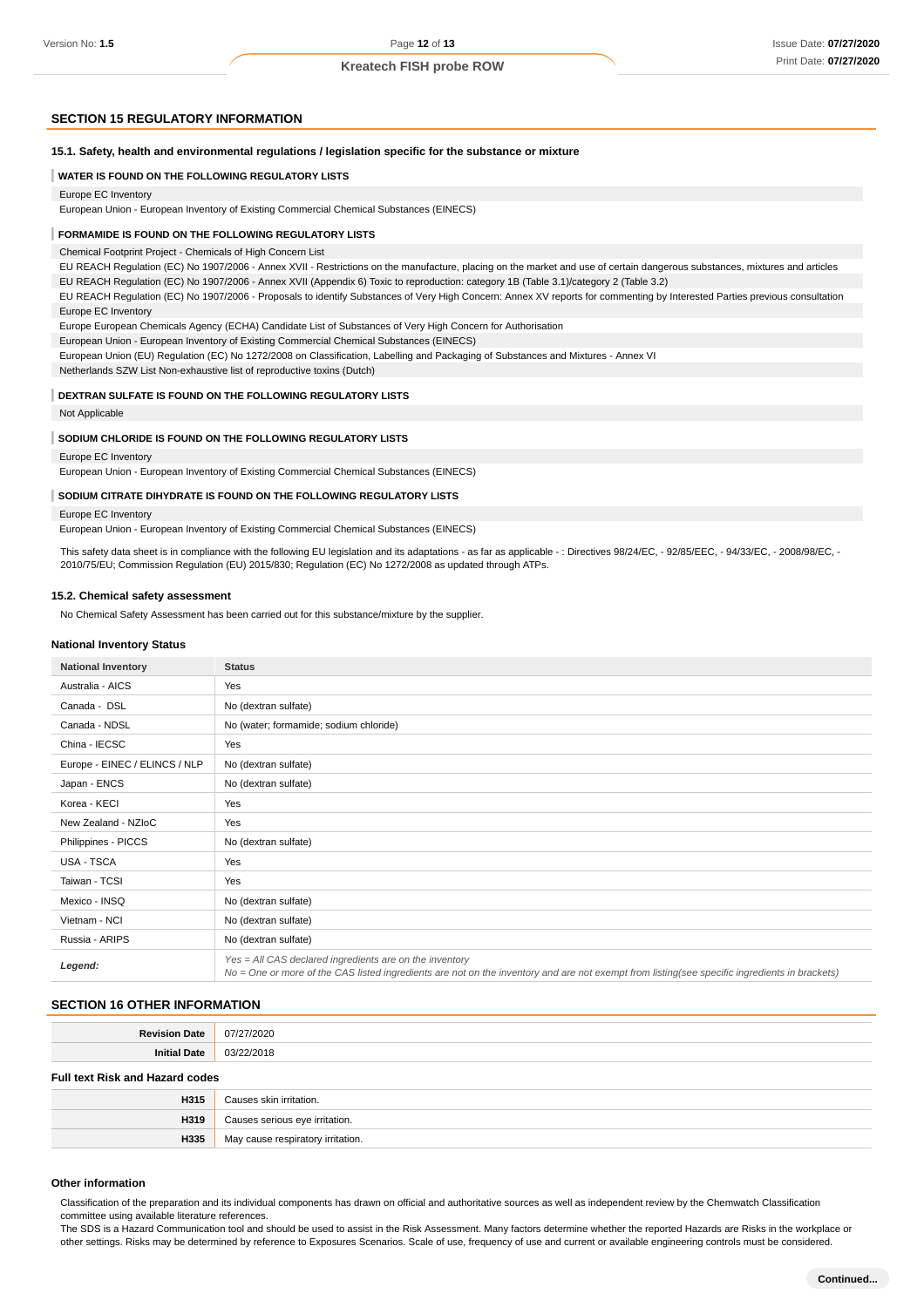#### **SECTION 15 REGULATORY INFORMATION**

**15.1. Safety, health and environmental regulations / legislation specific for the substance or mixture**

#### **WATER IS FOUND ON THE FOLLOWING REGULATORY LISTS**

#### Europe EC Inventory

European Union - European Inventory of Existing Commercial Chemical Substances (EINECS)

#### **FORMAMIDE IS FOUND ON THE FOLLOWING REGULATORY LISTS**

Chemical Footprint Project - Chemicals of High Concern List

EU REACH Regulation (EC) No 1907/2006 - Annex XVII - Restrictions on the manufacture, placing on the market and use of certain dangerous substances, mixtures and articles EU REACH Regulation (EC) No 1907/2006 - Annex XVII (Appendix 6) Toxic to reproduction: category 1B (Table 3.1)/category 2 (Table 3.2)

EU REACH Regulation (EC) No 1907/2006 - Proposals to identify Substances of Very High Concern: Annex XV reports for commenting by Interested Parties previous consultation Europe EC Inventory

Europe European Chemicals Agency (ECHA) Candidate List of Substances of Very High Concern for Authorisation

European Union - European Inventory of Existing Commercial Chemical Substances (EINECS)

European Union (EU) Regulation (EC) No 1272/2008 on Classification, Labelling and Packaging of Substances and Mixtures - Annex VI

Netherlands SZW List Non-exhaustive list of reproductive toxins (Dutch)

#### **DEXTRAN SULFATE IS FOUND ON THE FOLLOWING REGULATORY LISTS**

#### Not Applicable

#### **SODIUM CHLORIDE IS FOUND ON THE FOLLOWING REGULATORY LISTS**

Europe EC Inventory

European Union - European Inventory of Existing Commercial Chemical Substances (EINECS)

#### **SODIUM CITRATE DIHYDRATE IS FOUND ON THE FOLLOWING REGULATORY LISTS**

#### Europe EC Inventory

European Union - European Inventory of Existing Commercial Chemical Substances (EINECS)

This safety data sheet is in compliance with the following EU legislation and its adaptations - as far as applicable - : Directives 98/24/EC, - 92/85/EEC, - 94/33/EC, - 2008/98/EC, -2010/75/EU; Commission Regulation (EU) 2015/830; Regulation (EC) No 1272/2008 as updated through ATPs.

#### **15.2. Chemical safety assessment**

No Chemical Safety Assessment has been carried out for this substance/mixture by the supplier.

#### **National Inventory Status**

| <b>National Inventory</b>     | <b>Status</b>                                                                                                                                                                                            |
|-------------------------------|----------------------------------------------------------------------------------------------------------------------------------------------------------------------------------------------------------|
| Australia - AICS              | Yes                                                                                                                                                                                                      |
| Canada - DSL                  | No (dextran sulfate)                                                                                                                                                                                     |
| Canada - NDSL                 | No (water; formamide; sodium chloride)                                                                                                                                                                   |
| China - IECSC                 | Yes                                                                                                                                                                                                      |
| Europe - EINEC / ELINCS / NLP | No (dextran sulfate)                                                                                                                                                                                     |
| Japan - ENCS                  | No (dextran sulfate)                                                                                                                                                                                     |
| Korea - KECI                  | Yes                                                                                                                                                                                                      |
| New Zealand - NZIoC           | Yes                                                                                                                                                                                                      |
| Philippines - PICCS           | No (dextran sulfate)                                                                                                                                                                                     |
| USA - TSCA                    | Yes                                                                                                                                                                                                      |
| Taiwan - TCSI                 | Yes                                                                                                                                                                                                      |
| Mexico - INSQ                 | No (dextran sulfate)                                                                                                                                                                                     |
| Vietnam - NCI                 | No (dextran sulfate)                                                                                                                                                                                     |
| Russia - ARIPS                | No (dextran sulfate)                                                                                                                                                                                     |
| Legend:                       | Yes = All CAS declared ingredients are on the inventory<br>No = One or more of the CAS listed ingredients are not on the inventory and are not exempt from listing(see specific ingredients in brackets) |

#### **SECTION 16 OTHER INFORMATION**

| ^^′<br>. |
|----------|
|          |

#### **Full text Risk and Hazard codes**

| H315 | Causes skin irritation.           |
|------|-----------------------------------|
| H319 | Causes serious eye irritation.    |
| H335 | May cause respiratory irritation. |

#### **Other information**

Classification of the preparation and its individual components has drawn on official and authoritative sources as well as independent review by the Chemwatch Classification committee using available literature references.

The SDS is a Hazard Communication tool and should be used to assist in the Risk Assessment. Many factors determine whether the reported Hazards are Risks in the workplace or other settings. Risks may be determined by reference to Exposures Scenarios. Scale of use, frequency of use and current or available engineering controls must be considered.